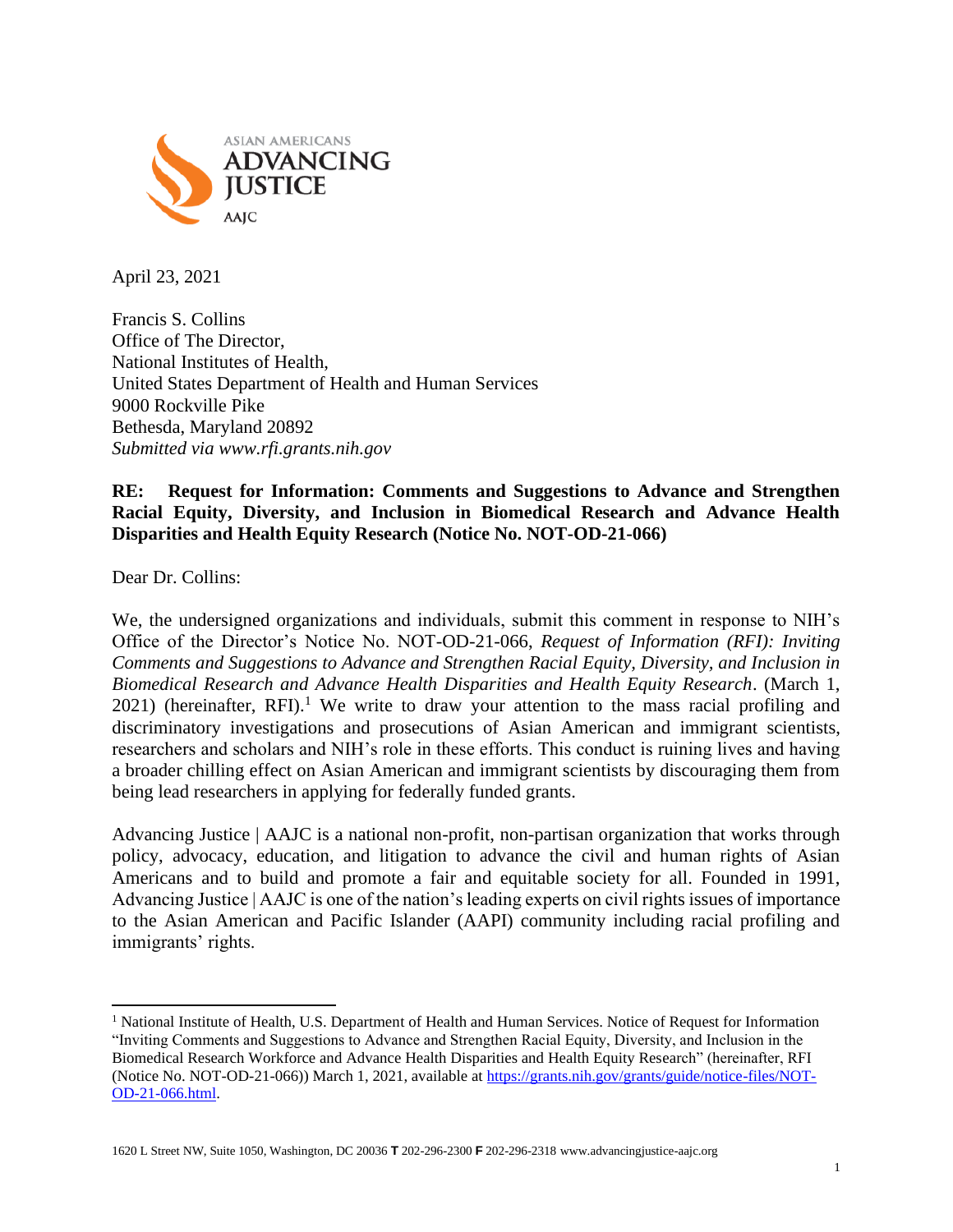

April 23, 2021

Francis S. Collins Office of The Director, National Institutes of Health, United States Department of Health and Human Services 9000 Rockville Pike Bethesda, Maryland 20892 *Submitted via www.rfi.grants.nih.gov*

#### **RE: Request for Information: Comments and Suggestions to Advance and Strengthen Racial Equity, Diversity, and Inclusion in Biomedical Research and Advance Health Disparities and Health Equity Research (Notice No. NOT-OD-21-066)**

Dear Dr. Collins:

We, the undersigned organizations and individuals, submit this comment in response to NIH's Office of the Director's Notice No. NOT-OD-21-066, *Request of Information (RFI): Inviting Comments and Suggestions to Advance and Strengthen Racial Equity, Diversity, and Inclusion in Biomedical Research and Advance Health Disparities and Health Equity Research*. (March 1, 2021) (hereinafter, RFI).<sup>1</sup> We write to draw your attention to the mass racial profiling and discriminatory investigations and prosecutions of Asian American and immigrant scientists, researchers and scholars and NIH's role in these efforts. This conduct is ruining lives and having a broader chilling effect on Asian American and immigrant scientists by discouraging them from being lead researchers in applying for federally funded grants.

Advancing Justice | AAJC is a national non-profit, non-partisan organization that works through policy, advocacy, education, and litigation to advance the civil and human rights of Asian Americans and to build and promote a fair and equitable society for all. Founded in 1991, Advancing Justice | AAJC is one of the nation's leading experts on civil rights issues of importance to the Asian American and Pacific Islander (AAPI) community including racial profiling and immigrants' rights.

<sup>&</sup>lt;sup>1</sup> National Institute of Health, U.S. Department of Health and Human Services. Notice of Request for Information "Inviting Comments and Suggestions to Advance and Strengthen Racial Equity, Diversity, and Inclusion in the Biomedical Research Workforce and Advance Health Disparities and Health Equity Research" (hereinafter, RFI (Notice No. NOT-OD-21-066)) March 1, 2021, available at [https://grants.nih.gov/grants/guide/notice-files/NOT-](https://grants.nih.gov/grants/guide/notice-files/NOT-OD-21-066.html)[OD-21-066.html.](https://grants.nih.gov/grants/guide/notice-files/NOT-OD-21-066.html)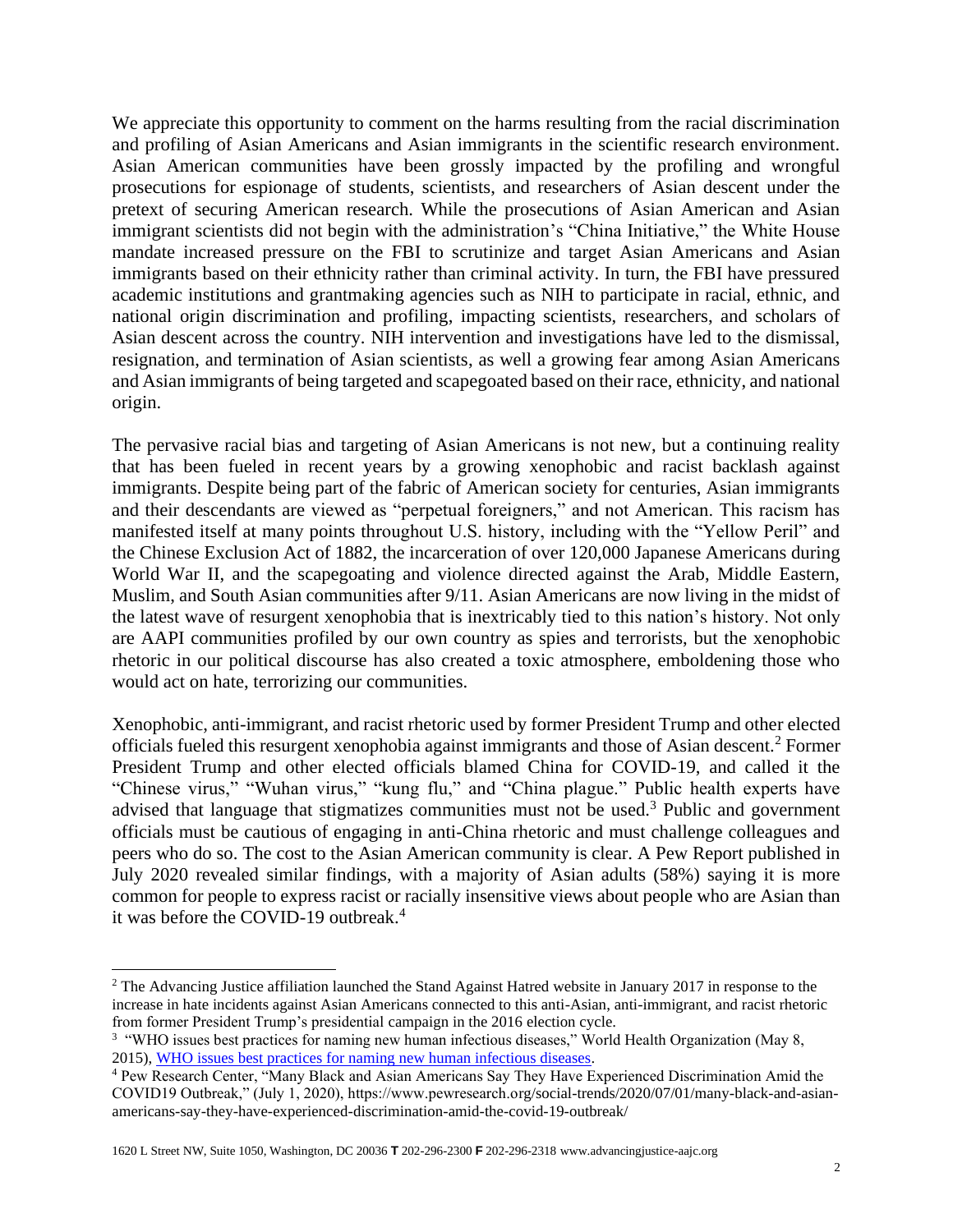We appreciate this opportunity to comment on the harms resulting from the racial discrimination and profiling of Asian Americans and Asian immigrants in the scientific research environment. Asian American communities have been grossly impacted by the profiling and wrongful prosecutions for espionage of students, scientists, and researchers of Asian descent under the pretext of securing American research. While the prosecutions of Asian American and Asian immigrant scientists did not begin with the administration's "China Initiative," the White House mandate increased pressure on the FBI to scrutinize and target Asian Americans and Asian immigrants based on their ethnicity rather than criminal activity. In turn, the FBI have pressured academic institutions and grantmaking agencies such as NIH to participate in racial, ethnic, and national origin discrimination and profiling, impacting scientists, researchers, and scholars of Asian descent across the country. NIH intervention and investigations have led to the dismissal, resignation, and termination of Asian scientists, as well a growing fear among Asian Americans and Asian immigrants of being targeted and scapegoated based on their race, ethnicity, and national origin.

The pervasive racial bias and targeting of Asian Americans is not new, but a continuing reality that has been fueled in recent years by a growing xenophobic and racist backlash against immigrants. Despite being part of the fabric of American society for centuries, Asian immigrants and their descendants are viewed as "perpetual foreigners," and not American. This racism has manifested itself at many points throughout U.S. history, including with the "Yellow Peril" and the Chinese Exclusion Act of 1882, the incarceration of over 120,000 Japanese Americans during World War II, and the scapegoating and violence directed against the Arab, Middle Eastern, Muslim, and South Asian communities after 9/11. Asian Americans are now living in the midst of the latest wave of resurgent xenophobia that is inextricably tied to this nation's history. Not only are AAPI communities profiled by our own country as spies and terrorists, but the xenophobic rhetoric in our political discourse has also created a toxic atmosphere, emboldening those who would act on hate, terrorizing our communities.

Xenophobic, anti-immigrant, and racist rhetoric used by former President Trump and other elected officials fueled this resurgent xenophobia against immigrants and those of Asian descent.<sup>2</sup> Former President Trump and other elected officials blamed China for COVID-19, and called it the "Chinese virus," "Wuhan virus," "kung flu," and "China plague." Public health experts have advised that language that stigmatizes communities must not be used.<sup>3</sup> Public and government officials must be cautious of engaging in anti-China rhetoric and must challenge colleagues and peers who do so. The cost to the Asian American community is clear. A Pew Report published in July 2020 revealed similar findings, with a majority of Asian adults (58%) saying it is more common for people to express racist or racially insensitive views about people who are Asian than it was before the COVID-19 outbreak. $4$ 

1620 L Street NW, Suite 1050, Washington, DC 20036 **T** 202-296-2300 **F** 202-296-2318 www.advancingjustice-aajc.org

<sup>&</sup>lt;sup>2</sup> The Advancing Justice affiliation launched the Stand Against Hatred website in January 2017 in response to the increase in hate incidents against Asian Americans connected to this anti-Asian, anti-immigrant, and racist rhetoric from former President Trump's presidential campaign in the 2016 election cycle.

<sup>&</sup>lt;sup>3</sup> "WHO issues best practices for naming new human infectious diseases," World Health Organization (May 8, 2015), [WHO issues best practices for naming new human infectious diseases.](https://www.who.int/news/item/08-05-2015-who-issues-best-practices-for-naming-new-human-infectious-diseases)

<sup>4</sup> Pew Research Center, "Many Black and Asian Americans Say They Have Experienced Discrimination Amid the COVID19 Outbreak," (July 1, 2020), https://www.pewresearch.org/social-trends/2020/07/01/many-black-and-asianamericans-say-they-have-experienced-discrimination-amid-the-covid-19-outbreak/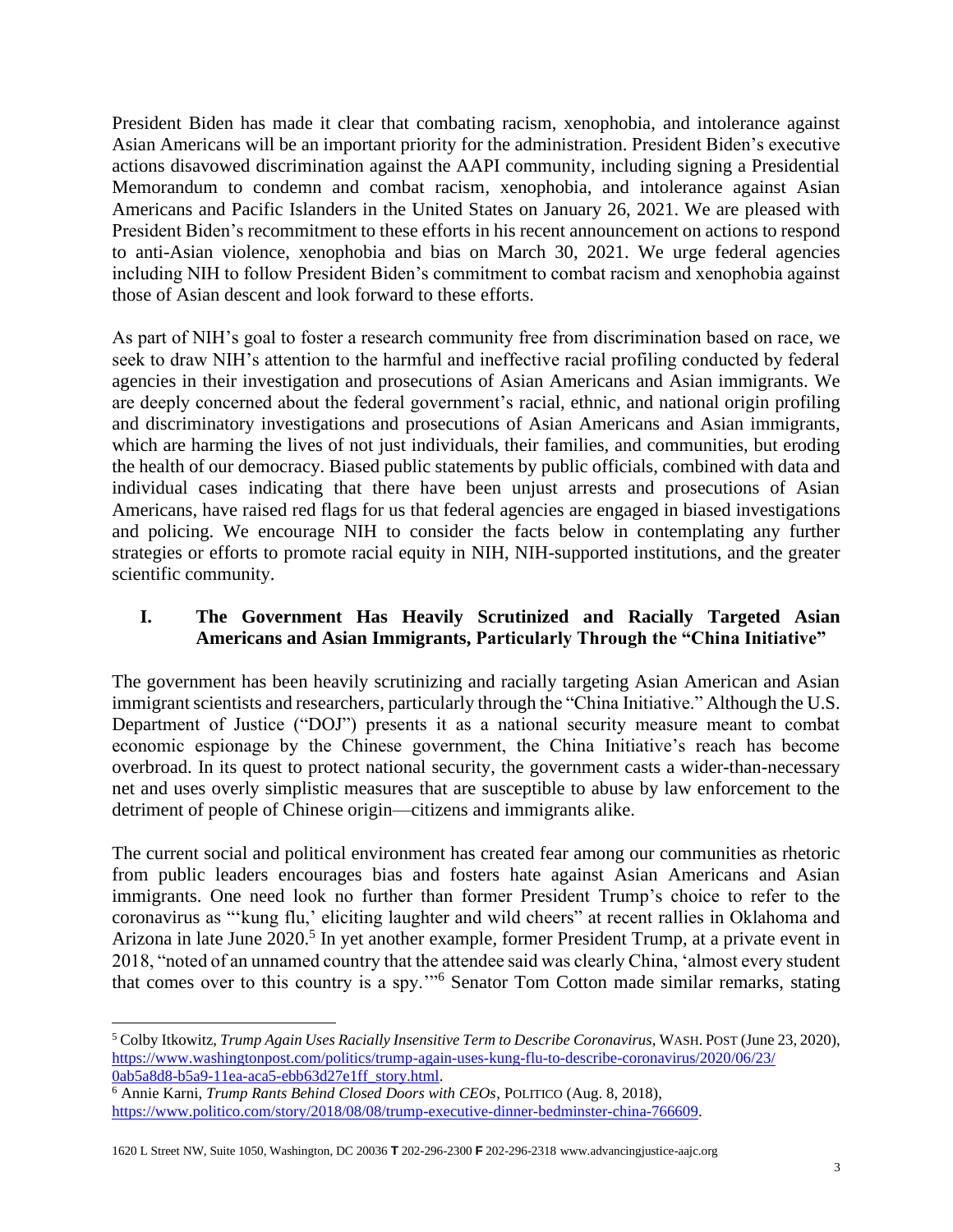President Biden has made it clear that combating racism, xenophobia, and intolerance against Asian Americans will be an important priority for the administration. President Biden's executive actions disavowed discrimination against the AAPI community, including signing a Presidential Memorandum to condemn and combat racism, xenophobia, and intolerance against Asian Americans and Pacific Islanders in the United States on January 26, 2021. We are pleased with President Biden's recommitment to these efforts in his recent announcement on actions to respond to anti-Asian violence, xenophobia and bias on March 30, 2021. We urge federal agencies including NIH to follow President Biden's commitment to combat racism and xenophobia against those of Asian descent and look forward to these efforts.

As part of NIH's goal to foster a research community free from discrimination based on race, we seek to draw NIH's attention to the harmful and ineffective racial profiling conducted by federal agencies in their investigation and prosecutions of Asian Americans and Asian immigrants. We are deeply concerned about the federal government's racial, ethnic, and national origin profiling and discriminatory investigations and prosecutions of Asian Americans and Asian immigrants, which are harming the lives of not just individuals, their families, and communities, but eroding the health of our democracy. Biased public statements by public officials, combined with data and individual cases indicating that there have been unjust arrests and prosecutions of Asian Americans, have raised red flags for us that federal agencies are engaged in biased investigations and policing. We encourage NIH to consider the facts below in contemplating any further strategies or efforts to promote racial equity in NIH, NIH-supported institutions, and the greater scientific community.

# **I. The Government Has Heavily Scrutinized and Racially Targeted Asian Americans and Asian Immigrants, Particularly Through the "China Initiative"**

The government has been heavily scrutinizing and racially targeting Asian American and Asian immigrant scientists and researchers, particularly through the "China Initiative." Although the U.S. Department of Justice ("DOJ") presents it as a national security measure meant to combat economic espionage by the Chinese government, the China Initiative's reach has become overbroad. In its quest to protect national security, the government casts a wider-than-necessary net and uses overly simplistic measures that are susceptible to abuse by law enforcement to the detriment of people of Chinese origin—citizens and immigrants alike.

The current social and political environment has created fear among our communities as rhetoric from public leaders encourages bias and fosters hate against Asian Americans and Asian immigrants. One need look no further than former President Trump's choice to refer to the coronavirus as "'kung flu,' eliciting laughter and wild cheers" at recent rallies in Oklahoma and Arizona in late June 2020.<sup>5</sup> In yet another example, former President Trump, at a private event in 2018, "noted of an unnamed country that the attendee said was clearly China, 'almost every student that comes over to this country is a spy.'"<sup>6</sup> Senator Tom Cotton made similar remarks, stating

<sup>5</sup> Colby Itkowitz, *Trump Again Uses Racially Insensitive Term to Describe Coronavirus*, WASH. POST (June 23, 2020), [https://www.washingtonpost.com/politics/trump-again-uses-kung-flu-to-describe-coronavirus/2020/06/23/](https://www.washingtonpost.com/politics/trump-again-uses-kung-flu-to-describe-coronavirus/2020/06/23/0ab5a8d8-b5a9-11ea-aca5-ebb63d27e1ff_story.html) [0ab5a8d8-b5a9-11ea-aca5-ebb63d27e1ff\\_story.html.](https://www.washingtonpost.com/politics/trump-again-uses-kung-flu-to-describe-coronavirus/2020/06/23/0ab5a8d8-b5a9-11ea-aca5-ebb63d27e1ff_story.html)

<sup>6</sup> Annie Karni, *Trump Rants Behind Closed Doors with CEOs*, POLITICO (Aug. 8, 2018), [https://www.politico.com/story/2018/08/08/trump-executive-dinner-bedminster-china-766609.](https://www.politico.com/story/2018/08/08/trump-executive-dinner-bedminster-china-766609)

<sup>1620</sup> L Street NW, Suite 1050, Washington, DC 20036 **T** 202-296-2300 **F** 202-296-2318 www.advancingjustice-aajc.org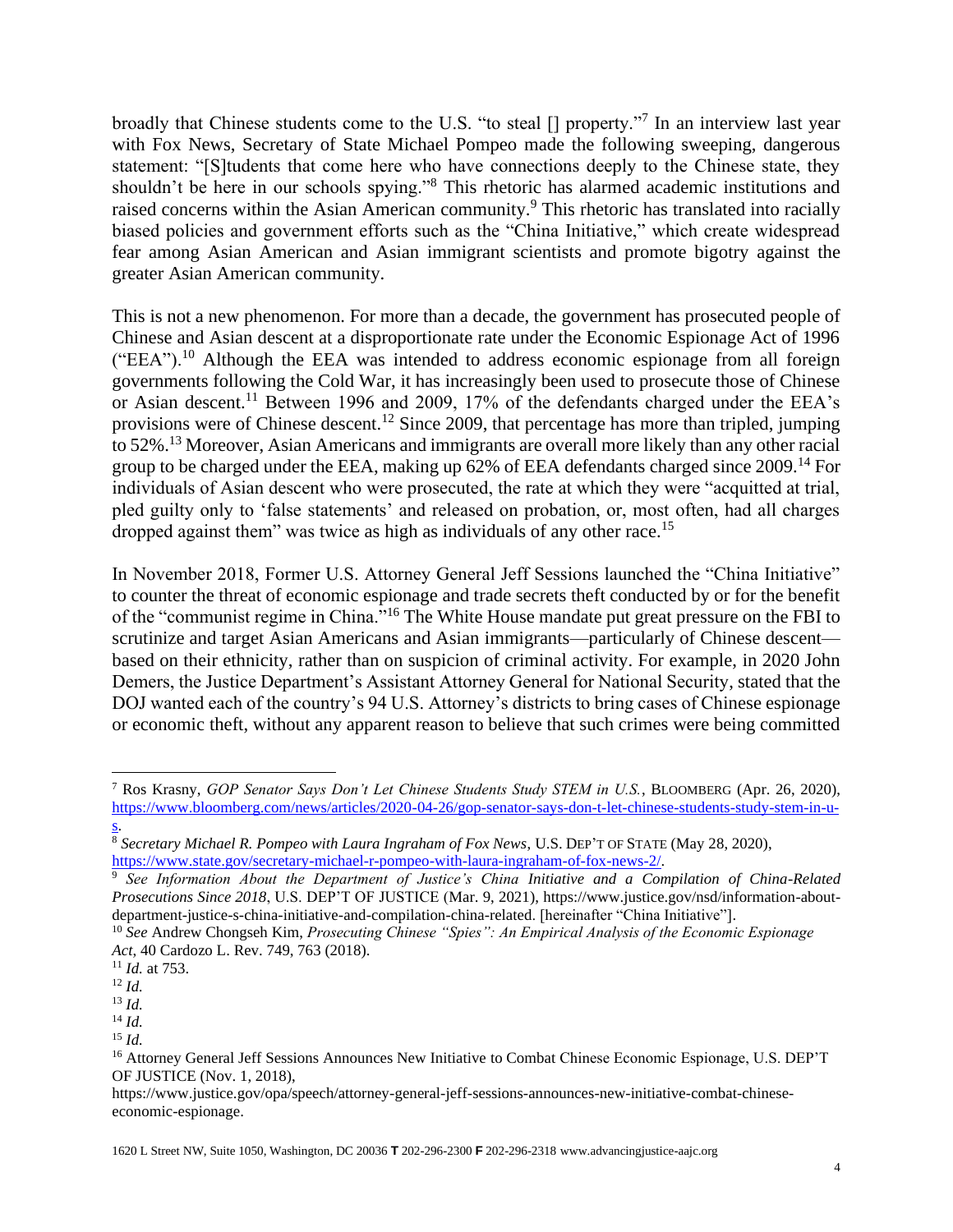broadly that Chinese students come to the U.S. "to steal [] property."<sup>7</sup> In an interview last year with Fox News, Secretary of State Michael Pompeo made the following sweeping, dangerous statement: "[S]tudents that come here who have connections deeply to the Chinese state, they shouldn't be here in our schools spying."<sup>8</sup> This rhetoric has alarmed academic institutions and raised concerns within the Asian American community.<sup>9</sup> This rhetoric has translated into racially biased policies and government efforts such as the "China Initiative," which create widespread fear among Asian American and Asian immigrant scientists and promote bigotry against the greater Asian American community.

This is not a new phenomenon. For more than a decade, the government has prosecuted people of Chinese and Asian descent at a disproportionate rate under the Economic Espionage Act of 1996 ("EEA").<sup>10</sup> Although the EEA was intended to address economic espionage from all foreign governments following the Cold War, it has increasingly been used to prosecute those of Chinese or Asian descent.<sup>11</sup> Between 1996 and 2009, 17% of the defendants charged under the EEA's provisions were of Chinese descent.<sup>12</sup> Since 2009, that percentage has more than tripled, jumping to 52%.<sup>13</sup> Moreover, Asian Americans and immigrants are overall more likely than any other racial group to be charged under the EEA, making up  $62\%$  of EEA defendants charged since  $2009$ .<sup>14</sup> For individuals of Asian descent who were prosecuted, the rate at which they were "acquitted at trial, pled guilty only to 'false statements' and released on probation, or, most often, had all charges dropped against them" was twice as high as individuals of any other race.<sup>15</sup>

In November 2018, Former U.S. Attorney General Jeff Sessions launched the "China Initiative" to counter the threat of economic espionage and trade secrets theft conducted by or for the benefit of the "communist regime in China."<sup>16</sup> The White House mandate put great pressure on the FBI to scrutinize and target Asian Americans and Asian immigrants—particularly of Chinese descent based on their ethnicity, rather than on suspicion of criminal activity. For example, in 2020 John Demers, the Justice Department's Assistant Attorney General for National Security, stated that the DOJ wanted each of the country's 94 U.S. Attorney's districts to bring cases of Chinese espionage or economic theft, without any apparent reason to believe that such crimes were being committed

<sup>7</sup> Ros Krasny, *GOP Senator Says Don't Let Chinese Students Study STEM in U.S.*, BLOOMBERG (Apr. 26, 2020), [https://www.bloomberg.com/news/articles/2020-04-26/gop-senator-says-don-t-let-chinese-students-study-stem-in-u](https://www.bloomberg.com/news/articles/2020-04-26/gop-senator-says-don-t-let-chinese-students-study-stem-in-u-s)[s.](https://www.bloomberg.com/news/articles/2020-04-26/gop-senator-says-don-t-let-chinese-students-study-stem-in-u-s)

<sup>8</sup> *Secretary Michael R. Pompeo with Laura Ingraham of Fox News*, U.S. DEP'T OF STATE (May 28, 2020), [https://www.state.gov/secretary-michael-r-pompeo-with-laura-ingraham-of-fox-news-2/.](https://www.state.gov/secretary-michael-r-pompeo-with-laura-ingraham-of-fox-news-2/)

<sup>9</sup> *See Information About the Department of Justice's China Initiative and a Compilation of China-Related Prosecutions Since 2018*, U.S. DEP'T OF JUSTICE (Mar. 9, 2021), https://www.justice.gov/nsd/information-aboutdepartment-justice-s-china-initiative-and-compilation-china-related. [hereinafter "China Initiative"].

<sup>10</sup> *See* Andrew Chongseh Kim, *Prosecuting Chinese "Spies": An Empirical Analysis of the Economic Espionage Act*, 40 Cardozo L. Rev. 749, 763 (2018).

<sup>11</sup> *Id.* at 753.

 $12$  *Id.* 

 $^{13}$  *Id.* 

<sup>14</sup> *Id.* 

 $15$  *Id.* 

<sup>&</sup>lt;sup>16</sup> Attorney General Jeff Sessions Announces New Initiative to Combat Chinese Economic Espionage, U.S. DEP'T OF JUSTICE (Nov. 1, 2018),

https://www.justice.gov/opa/speech/attorney-general-jeff-sessions-announces-new-initiative-combat-chineseeconomic-espionage.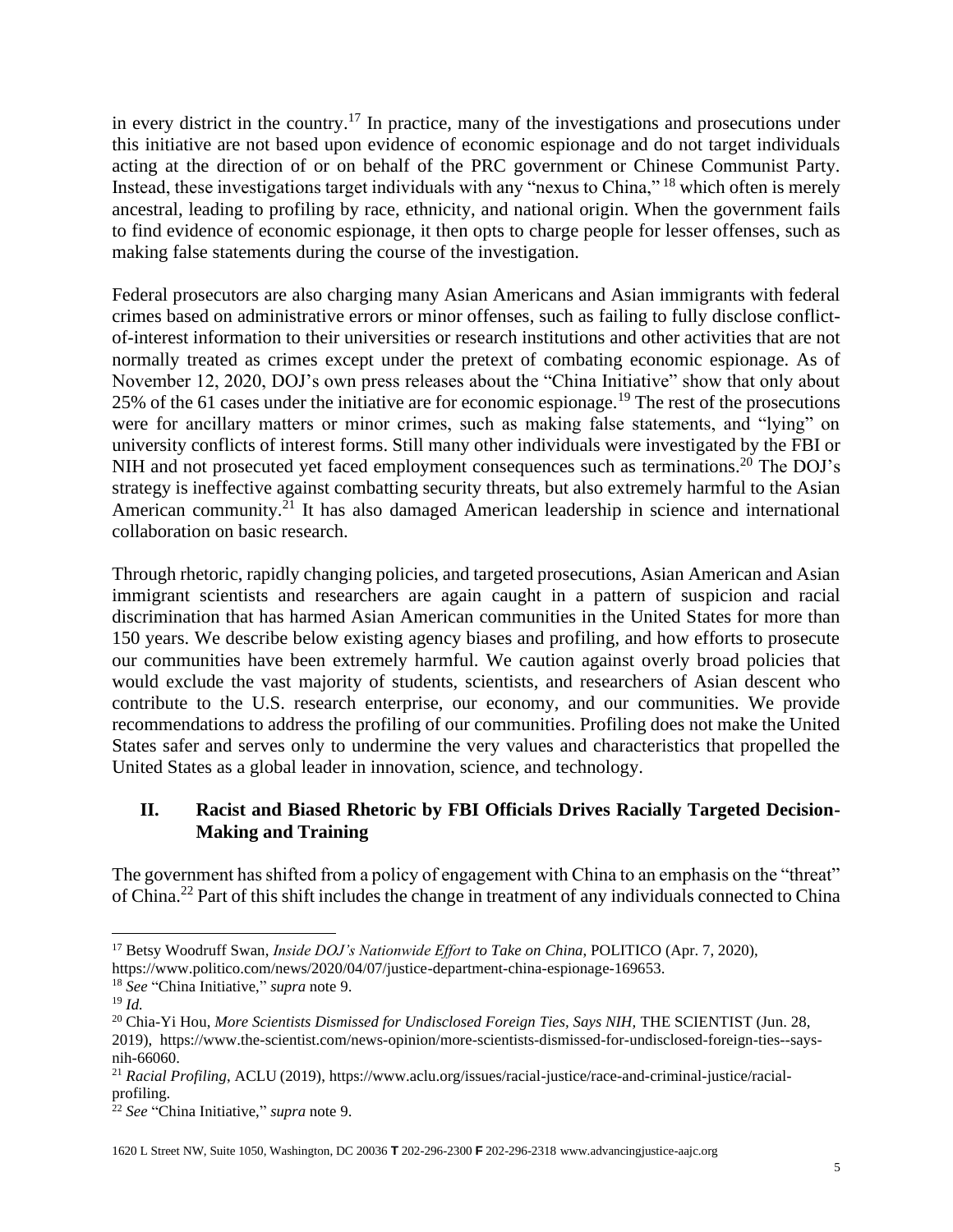in every district in the country.<sup>17</sup> In practice, many of the investigations and prosecutions under this initiative are not based upon evidence of economic espionage and do not target individuals acting at the direction of or on behalf of the PRC government or Chinese Communist Party. Instead, these investigations target individuals with any "nexus to China," <sup>18</sup> which often is merely ancestral, leading to profiling by race, ethnicity, and national origin. When the government fails to find evidence of economic espionage, it then opts to charge people for lesser offenses, such as making false statements during the course of the investigation.

Federal prosecutors are also charging many Asian Americans and Asian immigrants with federal crimes based on administrative errors or minor offenses, such as failing to fully disclose conflictof-interest information to their universities or research institutions and other activities that are not normally treated as crimes except under the pretext of combating economic espionage. As of November 12, 2020, DOJ's own press releases about the "China Initiative" show that only about 25% of the 61 cases under the initiative are for economic espionage.<sup>19</sup> The rest of the prosecutions were for ancillary matters or minor crimes, such as making false statements, and "lying" on university conflicts of interest forms. Still many other individuals were investigated by the FBI or NIH and not prosecuted yet faced employment consequences such as terminations.<sup>20</sup> The DOJ's strategy is ineffective against combatting security threats, but also extremely harmful to the Asian American community.<sup>21</sup> It has also damaged American leadership in science and international collaboration on basic research.

Through rhetoric, rapidly changing policies, and targeted prosecutions, Asian American and Asian immigrant scientists and researchers are again caught in a pattern of suspicion and racial discrimination that has harmed Asian American communities in the United States for more than 150 years. We describe below existing agency biases and profiling, and how efforts to prosecute our communities have been extremely harmful. We caution against overly broad policies that would exclude the vast majority of students, scientists, and researchers of Asian descent who contribute to the U.S. research enterprise, our economy, and our communities. We provide recommendations to address the profiling of our communities. Profiling does not make the United States safer and serves only to undermine the very values and characteristics that propelled the United States as a global leader in innovation, science, and technology.

## **II. Racist and Biased Rhetoric by FBI Officials Drives Racially Targeted Decision-Making and Training**

The government has shifted from a policy of engagement with China to an emphasis on the "threat" of China.<sup>22</sup> Part of this shift includes the change in treatment of any individuals connected to China

<sup>17</sup> Betsy Woodruff Swan, *Inside DOJ's Nationwide Effort to Take on China*, POLITICO (Apr. 7, 2020),

https://www.politico.com/news/2020/04/07/justice-department-china-espionage-169653.

<sup>18</sup> *See* "China Initiative," *supra* note 9.

<sup>19</sup> *Id.*

<sup>20</sup> Chia-Yi Hou, *More Scientists Dismissed for Undisclosed Foreign Ties, Says NIH,* THE SCIENTIST (Jun. 28, 2019), https://www.the-scientist.com/news-opinion/more-scientists-dismissed-for-undisclosed-foreign-ties--saysnih-66060.

<sup>21</sup> *Racial Profiling*, ACLU (2019), https://www.aclu.org/issues/racial-justice/race-and-criminal-justice/racialprofiling.

<sup>22</sup> *See* "China Initiative," *supra* note 9.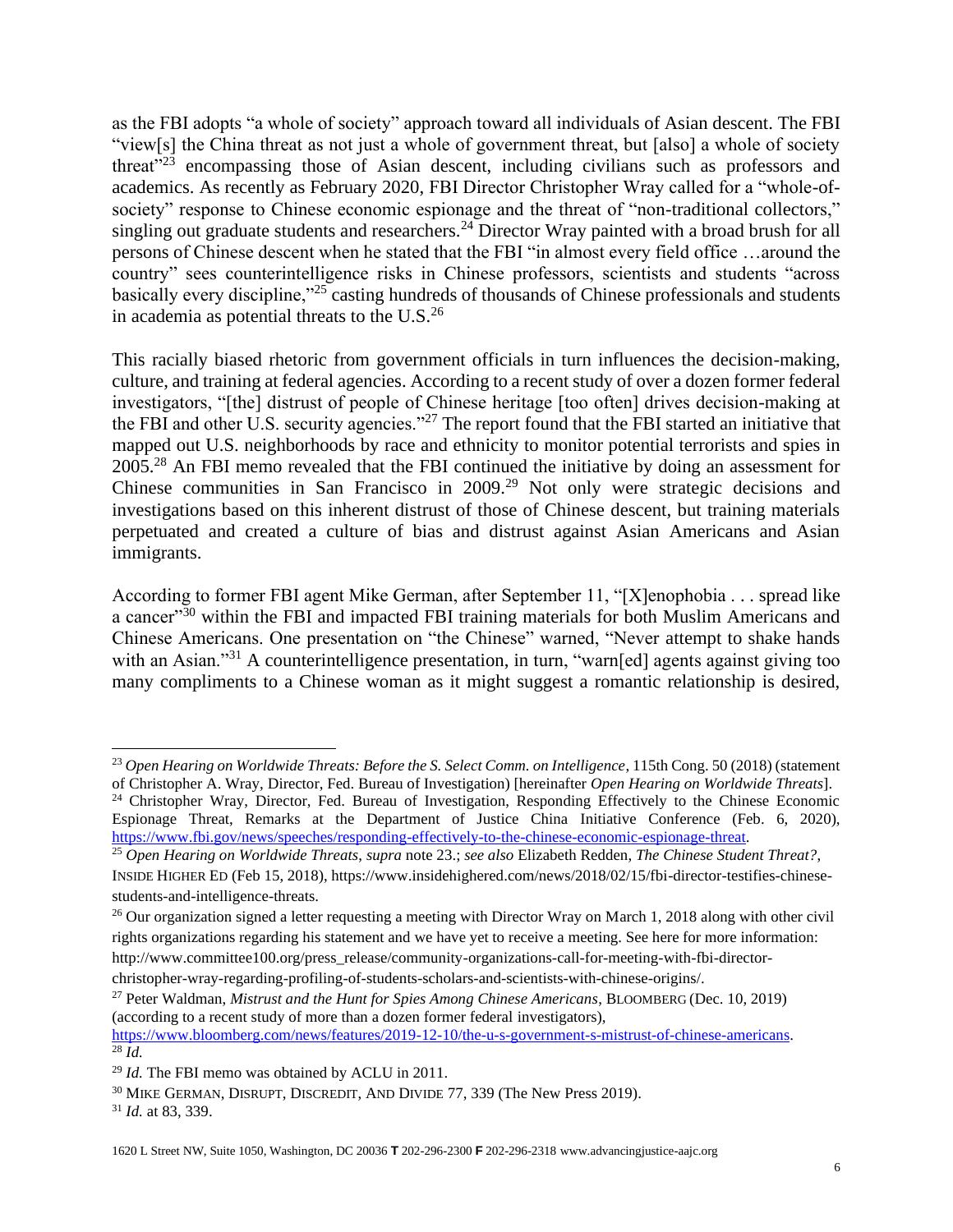as the FBI adopts "a whole of society" approach toward all individuals of Asian descent. The FBI "view[s] the China threat as not just a whole of government threat, but [also] a whole of society threat<sup> $23$ </sup> encompassing those of Asian descent, including civilians such as professors and academics. As recently as February 2020, FBI Director Christopher Wray called for a "whole-ofsociety" response to Chinese economic espionage and the threat of "non-traditional collectors," singling out graduate students and researchers.<sup>24</sup> Director Wray painted with a broad brush for all persons of Chinese descent when he stated that the FBI "in almost every field office …around the country" sees counterintelligence risks in Chinese professors, scientists and students "across basically every discipline,"<sup>25</sup> casting hundreds of thousands of Chinese professionals and students in academia as potential threats to the U.S.<sup>26</sup>

This racially biased rhetoric from government officials in turn influences the decision-making, culture, and training at federal agencies. According to a recent study of over a dozen former federal investigators, "[the] distrust of people of Chinese heritage [too often] drives decision-making at the FBI and other U.S. security agencies."<sup>27</sup> The report found that the FBI started an initiative that mapped out U.S. neighborhoods by race and ethnicity to monitor potential terrorists and spies in 2005.<sup>28</sup> An FBI memo revealed that the FBI continued the initiative by doing an assessment for Chinese communities in San Francisco in 2009.<sup>29</sup> Not only were strategic decisions and investigations based on this inherent distrust of those of Chinese descent, but training materials perpetuated and created a culture of bias and distrust against Asian Americans and Asian immigrants.

According to former FBI agent Mike German, after September 11, "[X]enophobia . . . spread like a cancer"<sup>30</sup> within the FBI and impacted FBI training materials for both Muslim Americans and Chinese Americans. One presentation on "the Chinese" warned, "Never attempt to shake hands with an Asian."<sup>31</sup> A counterintelligence presentation, in turn, "warn[ed] agents against giving too many compliments to a Chinese woman as it might suggest a romantic relationship is desired,

<sup>24</sup> Christopher Wray, Director, Fed. Bureau of Investigation, Responding Effectively to the Chinese Economic Espionage Threat, Remarks at the Department of Justice China Initiative Conference (Feb. 6, 2020), [https://www.fbi.gov/news/speeches/responding-effectively-to-the-chinese-economic-espionage-threat.](https://www.fbi.gov/news/speeches/responding-effectively-to-the-chinese-economic-espionage-threat)

<sup>23</sup> *Open Hearing on Worldwide Threats: Before the S. Select Comm. on Intelligence*, 115th Cong. 50 (2018) (statement of Christopher A. Wray, Director, Fed. Bureau of Investigation) [hereinafter *Open Hearing on Worldwide Threats*].

<sup>25</sup> *Open Hearing on Worldwide Threats*, *supra* note 23.; *see also* Elizabeth Redden, *The Chinese Student Threat?*, INSIDE HIGHER ED (Feb 15, 2018), https://www.insidehighered.com/news/2018/02/15/fbi-director-testifies-chinesestudents-and-intelligence-threats.

<sup>&</sup>lt;sup>26</sup> Our organization signed a letter requesting a meeting with Director Wray on March 1, 2018 along with other civil rights organizations regarding his statement and we have yet to receive a meeting. See here for more information:

http://www.committee100.org/press\_release/community-organizations-call-for-meeting-with-fbi-director-

christopher-wray-regarding-profiling-of-students-scholars-and-scientists-with-chinese-origins/.

<sup>27</sup> Peter Waldman, *Mistrust and the Hunt for Spies Among Chinese Americans*, BLOOMBERG (Dec. 10, 2019) (according to a recent study of more than a dozen former federal investigators),

[https://www.bloomberg.com/news/features/2019-12-10/the-u-s-government-s-mistrust-of-chinese-americans.](https://www.bloomberg.com/news/features/2019-12-10/the-u-s-government-s-mistrust-of-chinese-americans) <sup>28</sup> *Id.*

<sup>29</sup> *Id.* The FBI memo was obtained by ACLU in 2011.

<sup>30</sup> MIKE GERMAN, DISRUPT, DISCREDIT, AND DIVIDE 77, 339 (The New Press 2019).

<sup>31</sup> *Id.* at 83, 339.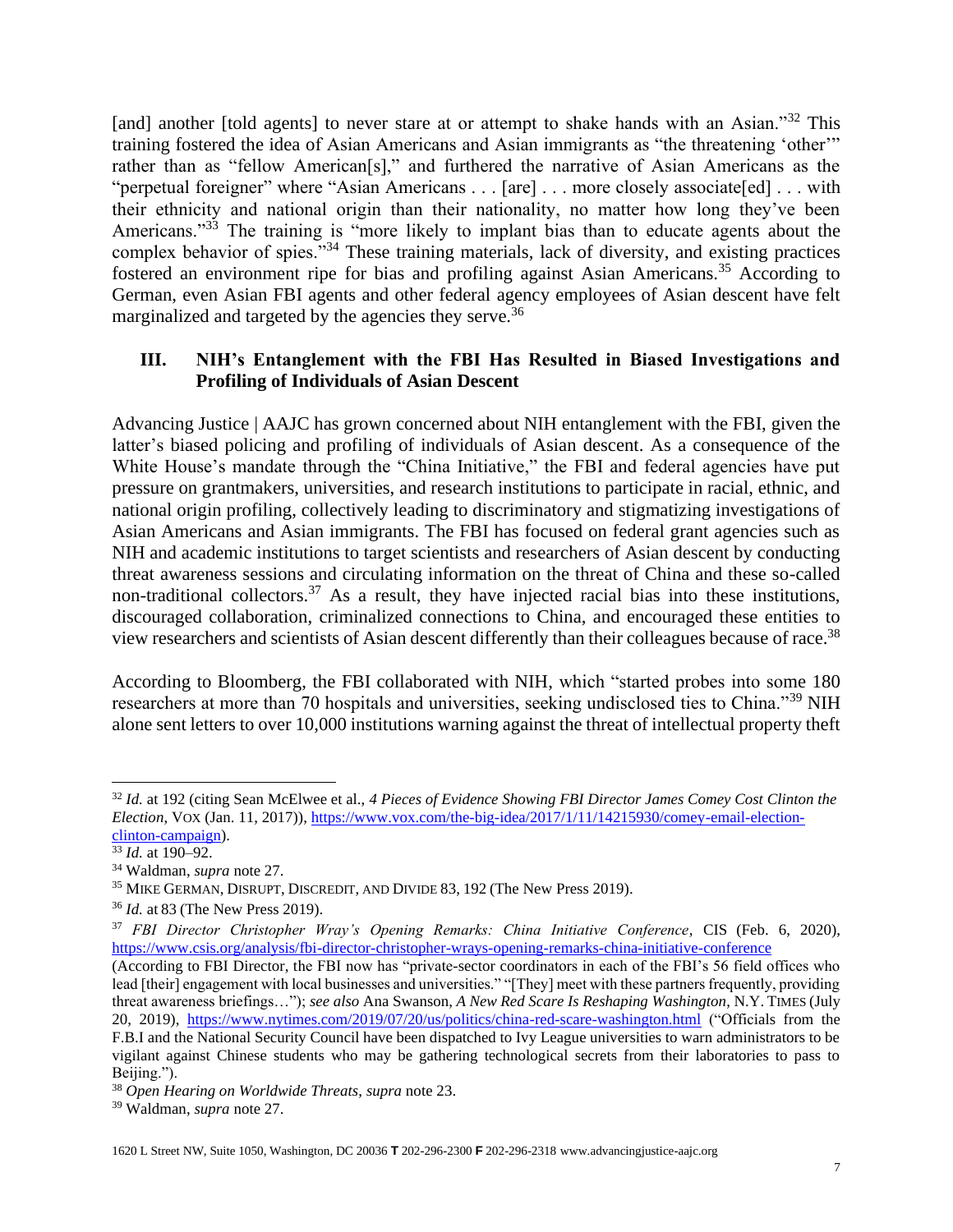[and] another [told agents] to never stare at or attempt to shake hands with an Asian."<sup>32</sup> This training fostered the idea of Asian Americans and Asian immigrants as "the threatening 'other'" rather than as "fellow American[s]," and furthered the narrative of Asian Americans as the "perpetual foreigner" where "Asian Americans . . . [are] . . . more closely associate[ed] . . . with their ethnicity and national origin than their nationality, no matter how long they've been Americans."<sup>33</sup> The training is "more likely to implant bias than to educate agents about the complex behavior of spies."<sup>34</sup> These training materials, lack of diversity, and existing practices fostered an environment ripe for bias and profiling against Asian Americans.<sup>35</sup> According to German, even Asian FBI agents and other federal agency employees of Asian descent have felt marginalized and targeted by the agencies they serve.<sup>36</sup>

#### **III. NIH's Entanglement with the FBI Has Resulted in Biased Investigations and Profiling of Individuals of Asian Descent**

Advancing Justice | AAJC has grown concerned about NIH entanglement with the FBI, given the latter's biased policing and profiling of individuals of Asian descent. As a consequence of the White House's mandate through the "China Initiative," the FBI and federal agencies have put pressure on grantmakers, universities, and research institutions to participate in racial, ethnic, and national origin profiling, collectively leading to discriminatory and stigmatizing investigations of Asian Americans and Asian immigrants. The FBI has focused on federal grant agencies such as NIH and academic institutions to target scientists and researchers of Asian descent by conducting threat awareness sessions and circulating information on the threat of China and these so-called non-traditional collectors.<sup>37</sup> As a result, they have injected racial bias into these institutions, discouraged collaboration, criminalized connections to China, and encouraged these entities to view researchers and scientists of Asian descent differently than their colleagues because of race.<sup>38</sup>

According to Bloomberg, the FBI collaborated with NIH, which "started probes into some 180 researchers at more than 70 hospitals and universities, seeking undisclosed ties to China."<sup>39</sup> NIH alone sent letters to over 10,000 institutions warning against the threat of intellectual property theft

<sup>32</sup> *Id.* at 192 (citing Sean McElwee et al., *4 Pieces of Evidence Showing FBI Director James Comey Cost Clinton the Election*, VOX (Jan. 11, 2017)), [https://www.vox.com/the-big-idea/2017/1/11/14215930/comey-email-election](https://www.vox.com/the-big-idea/2017/1/11/14215930/comey-email-election-clinton-campaign)[clinton-campaign\)](https://www.vox.com/the-big-idea/2017/1/11/14215930/comey-email-election-clinton-campaign).

<sup>33</sup> *Id.* at 190–92.

<sup>34</sup> Waldman, *supra* note 27.

<sup>35</sup> MIKE GERMAN, DISRUPT, DISCREDIT, AND DIVIDE 83, 192 (The New Press 2019).

<sup>36</sup> *Id.* at 83 (The New Press 2019).

<sup>37</sup> *FBI Director Christopher Wray's Opening Remarks: China Initiative Conference*, CIS (Feb. 6, 2020), <https://www.csis.org/analysis/fbi-director-christopher-wrays-opening-remarks-china-initiative-conference>

<sup>(</sup>According to FBI Director, the FBI now has "private-sector coordinators in each of the FBI's 56 field offices who lead [their] engagement with local businesses and universities." "[They] meet with these partners frequently, providing threat awareness briefings…"); *see also* Ana Swanson, *A New Red Scare Is Reshaping Washington*, N.Y. TIMES (July 20, 2019), <https://www.nytimes.com/2019/07/20/us/politics/china-red-scare-washington.html> ("Officials from the F.B.I and the National Security Council have been dispatched to Ivy League universities to warn administrators to be vigilant against Chinese students who may be gathering technological secrets from their laboratories to pass to Beijing.").

<sup>38</sup> *Open Hearing on Worldwide Threats*, *supra* note 23.

<sup>39</sup> Waldman, *supra* note 27.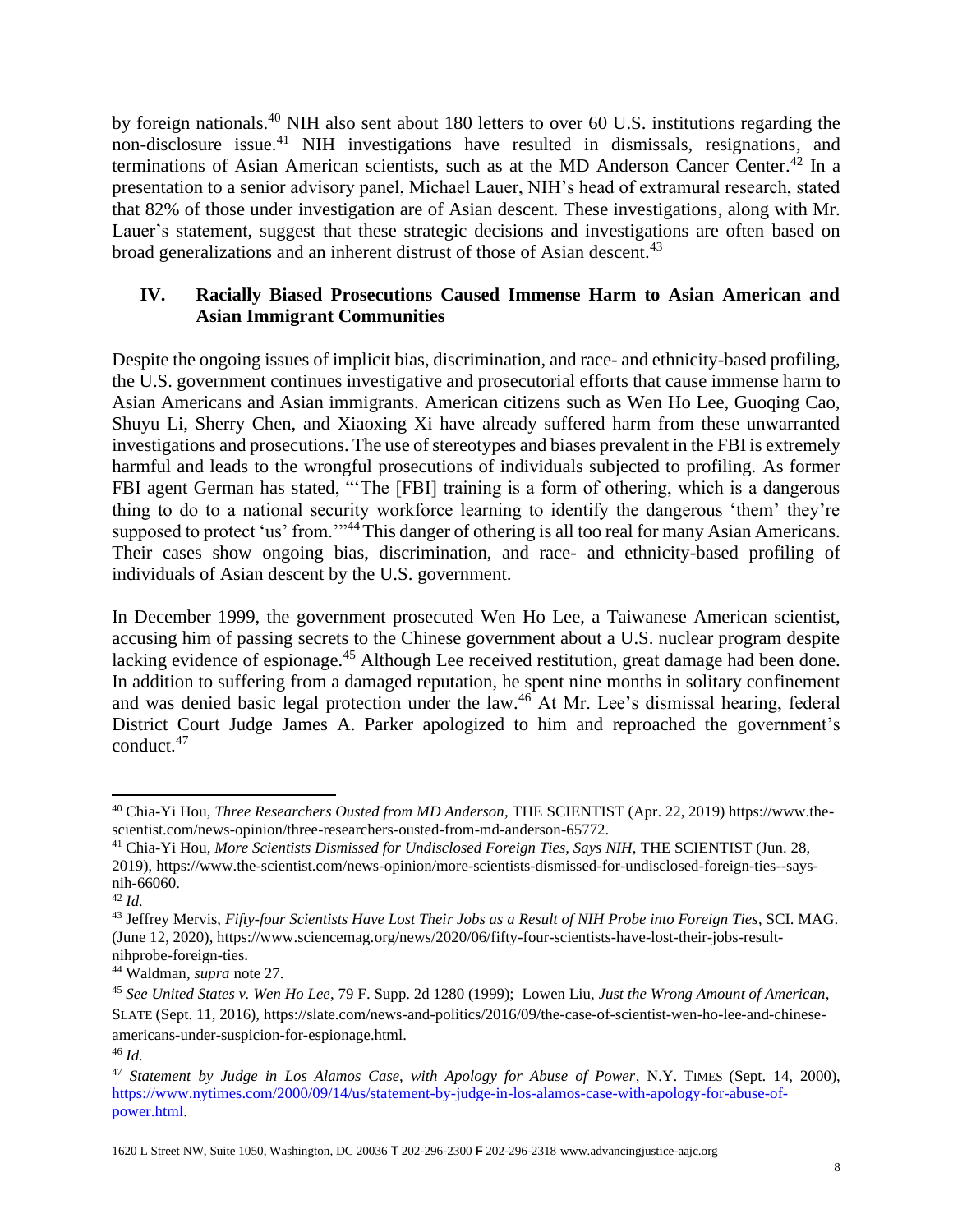by foreign nationals.<sup>40</sup> NIH also sent about 180 letters to over 60 U.S. institutions regarding the non-disclosure issue.<sup>41</sup> NIH investigations have resulted in dismissals, resignations, and terminations of Asian American scientists, such as at the MD Anderson Cancer Center.<sup>42</sup> In a presentation to a senior advisory panel, Michael Lauer, NIH's head of extramural research, stated that 82% of those under investigation are of Asian descent. These investigations, along with Mr. Lauer's statement, suggest that these strategic decisions and investigations are often based on broad generalizations and an inherent distrust of those of Asian descent.<sup>43</sup>

### **IV. Racially Biased Prosecutions Caused Immense Harm to Asian American and Asian Immigrant Communities**

Despite the ongoing issues of implicit bias, discrimination, and race- and ethnicity-based profiling, the U.S. government continues investigative and prosecutorial efforts that cause immense harm to Asian Americans and Asian immigrants. American citizens such as Wen Ho Lee, Guoqing Cao, Shuyu Li, Sherry Chen, and Xiaoxing Xi have already suffered harm from these unwarranted investigations and prosecutions. The use of stereotypes and biases prevalent in the FBI is extremely harmful and leads to the wrongful prosecutions of individuals subjected to profiling. As former FBI agent German has stated, "The [FBI] training is a form of othering, which is a dangerous thing to do to a national security workforce learning to identify the dangerous 'them' they're supposed to protect 'us' from."<sup>44</sup>This danger of othering is all too real for many Asian Americans. Their cases show ongoing bias, discrimination, and race- and ethnicity-based profiling of individuals of Asian descent by the U.S. government.

In December 1999, the government prosecuted Wen Ho Lee, a Taiwanese American scientist, accusing him of passing secrets to the Chinese government about a U.S. nuclear program despite lacking evidence of espionage.<sup>45</sup> Although Lee received restitution, great damage had been done. In addition to suffering from a damaged reputation, he spent nine months in solitary confinement and was denied basic legal protection under the law.<sup>46</sup> At Mr. Lee's dismissal hearing, federal District Court Judge James A. Parker apologized to him and reproached the government's conduct.<sup>47</sup>

<sup>40</sup> Chia-Yi Hou, *Three Researchers Ousted from MD Anderson,* THE SCIENTIST (Apr. 22, 2019) https://www.thescientist.com/news-opinion/three-researchers-ousted-from-md-anderson-65772.

<sup>41</sup> Chia-Yi Hou, *More Scientists Dismissed for Undisclosed Foreign Ties, Says NIH,* THE SCIENTIST (Jun. 28, 2019), https://www.the-scientist.com/news-opinion/more-scientists-dismissed-for-undisclosed-foreign-ties--saysnih-66060.

<sup>42</sup> *Id.*

<sup>43</sup> Jeffrey Mervis, *Fifty-four Scientists Have Lost Their Jobs as a Result of NIH Probe into Foreign Ties*, SCI. MAG. (June 12, 2020), https://www.sciencemag.org/news/2020/06/fifty-four-scientists-have-lost-their-jobs-resultnihprobe-foreign-ties.

<sup>44</sup> Waldman, *supra* note 27.

<sup>45</sup> *See United States v. Wen Ho Lee*, 79 F. Supp. 2d 1280 (1999); Lowen Liu, *Just the Wrong Amount of American*, SLATE (Sept. 11, 2016), https://slate.com/news-and-politics/2016/09/the-case-of-scientist-wen-ho-lee-and-chineseamericans-under-suspicion-for-espionage.html.

<sup>46</sup> *Id.*

<sup>47</sup> *Statement by Judge in Los Alamos Case, with Apology for Abuse of Power*, N.Y. TIMES (Sept. 14, 2000), [https://www.nytimes.com/2000/09/14/us/statement-by-judge-in-los-alamos-case-with-apology-for-abuse-of](https://www.nytimes.com/2000/09/14/us/statement-by-judge-in-los-alamos-case-with-apology-for-abuse-of-power.html)[power.html.](https://www.nytimes.com/2000/09/14/us/statement-by-judge-in-los-alamos-case-with-apology-for-abuse-of-power.html)

<sup>1620</sup> L Street NW, Suite 1050, Washington, DC 20036 **T** 202-296-2300 **F** 202-296-2318 www.advancingjustice-aajc.org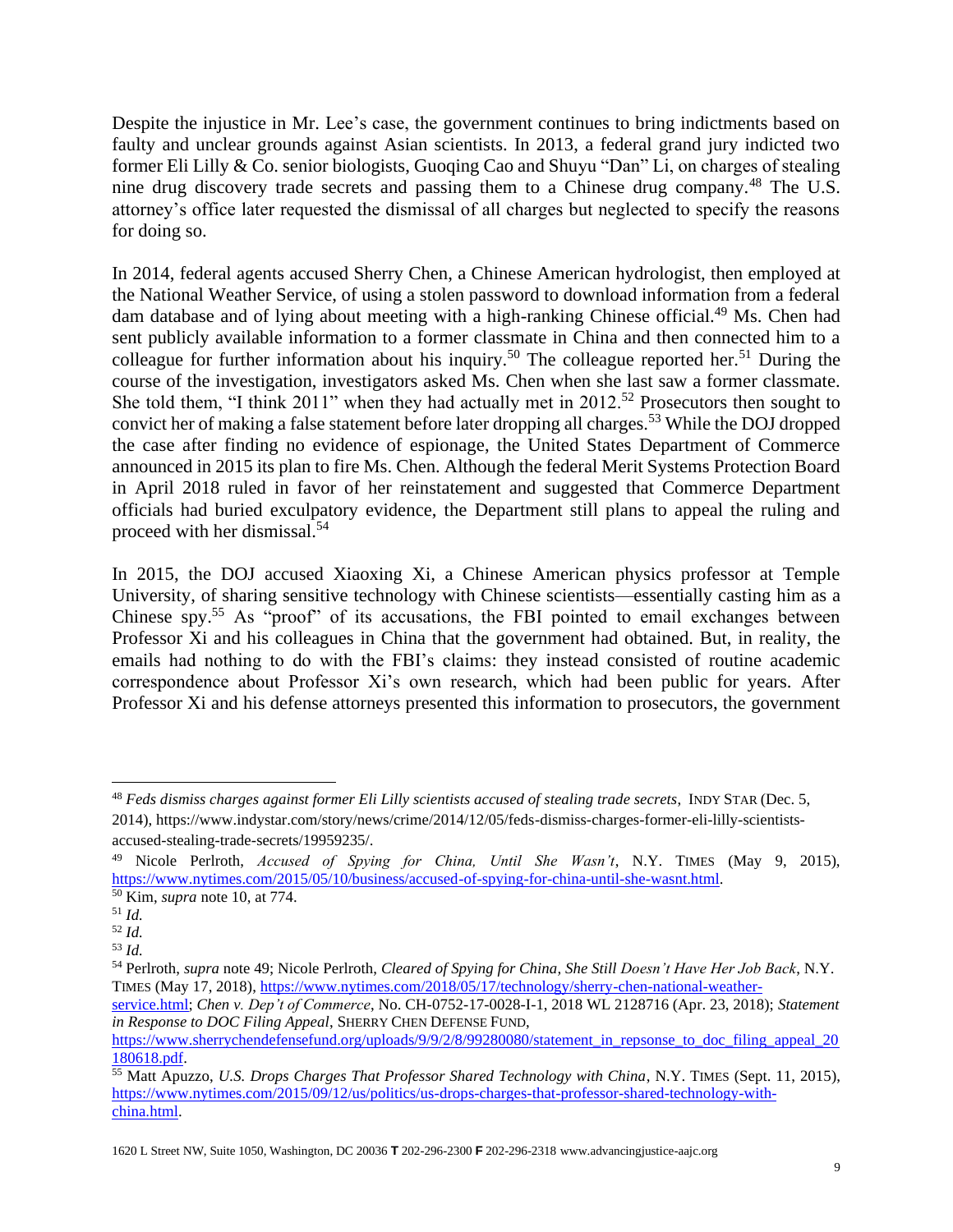Despite the injustice in Mr. Lee's case, the government continues to bring indictments based on faulty and unclear grounds against Asian scientists. In 2013, a federal grand jury indicted two former Eli Lilly & Co. senior biologists, Guoqing Cao and Shuyu "Dan" Li, on charges of stealing nine drug discovery trade secrets and passing them to a Chinese drug company.<sup>48</sup> The U.S. attorney's office later requested the dismissal of all charges but neglected to specify the reasons for doing so.

In 2014, federal agents accused Sherry Chen, a Chinese American hydrologist, then employed at the National Weather Service, of using a stolen password to download information from a federal dam database and of lying about meeting with a high-ranking Chinese official.<sup>49</sup> Ms. Chen had sent publicly available information to a former classmate in China and then connected him to a colleague for further information about his inquiry.<sup>50</sup> The colleague reported her.<sup>51</sup> During the course of the investigation, investigators asked Ms. Chen when she last saw a former classmate. She told them, "I think 2011" when they had actually met in 2012.<sup>52</sup> Prosecutors then sought to convict her of making a false statement before later dropping all charges.<sup>53</sup> While the DOJ dropped the case after finding no evidence of espionage, the United States Department of Commerce announced in 2015 its plan to fire Ms. Chen. Although the federal Merit Systems Protection Board in April 2018 ruled in favor of her reinstatement and suggested that Commerce Department officials had buried exculpatory evidence, the Department still plans to appeal the ruling and proceed with her dismissal.<sup>54</sup>

In 2015, the DOJ accused Xiaoxing Xi, a Chinese American physics professor at Temple University, of sharing sensitive technology with Chinese scientists—essentially casting him as a Chinese spy.<sup>55</sup> As "proof" of its accusations, the FBI pointed to email exchanges between Professor Xi and his colleagues in China that the government had obtained. But, in reality, the emails had nothing to do with the FBI's claims: they instead consisted of routine academic correspondence about Professor Xi's own research, which had been public for years. After Professor Xi and his defense attorneys presented this information to prosecutors, the government

<sup>48</sup> *Feds dismiss charges against former Eli Lilly scientists accused of stealing trade secrets*, INDY STAR (Dec. 5, 2014), https://www.indystar.com/story/news/crime/2014/12/05/feds-dismiss-charges-former-eli-lilly-scientistsaccused-stealing-trade-secrets/19959235/.

<sup>49</sup> Nicole Perlroth, *Accused of Spying for China, Until She Wasn't*, N.Y. TIMES (May 9, 2015), [https://www.nytimes.com/2015/05/10/business/accused-of-spying-for-china-until-she-wasnt.html.](https://www.nytimes.com/2015/05/10/business/accused-of-spying-for-china-until-she-wasnt.html) <sup>50</sup> Kim, *supra* note 10, at 774.

<sup>51</sup> *Id.*

<sup>52</sup> *Id.*

<sup>53</sup> *Id.*

<sup>54</sup> Perlroth, *supra* note 49; Nicole Perlroth, *Cleared of Spying for China, She Still Doesn't Have Her Job Back*, N.Y. TIMES (May 17, 2018), [https://www.nytimes.com/2018/05/17/technology/sherry-chen-national-weather-](https://www.nytimes.com/2018/05/17/technology/sherry-chen-national-weather-service.html)

[service.html;](https://www.nytimes.com/2018/05/17/technology/sherry-chen-national-weather-service.html) *Chen v. Dep't of Commerce*, No. CH-0752-17-0028-I-1, 2018 WL 2128716 (Apr. 23, 2018); *Statement in Response to DOC Filing Appeal*, SHERRY CHEN DEFENSE FUND,

[https://www.sherrychendefensefund.org/uploads/9/9/2/8/99280080/statement\\_in\\_repsonse\\_to\\_doc\\_filing\\_appeal\\_20](https://www.sherrychendefensefund.org/uploads/9/9/2/8/99280080/statement_in_repsonse_to_doc_filing_appeal_20180618.pdf)\_ [180618.pdf.](https://www.sherrychendefensefund.org/uploads/9/9/2/8/99280080/statement_in_repsonse_to_doc_filing_appeal_20180618.pdf)

<sup>55</sup> Matt Apuzzo, *U.S. Drops Charges That Professor Shared Technology with China*, N.Y. TIMES (Sept. 11, 2015), [https://www.nytimes.com/2015/09/12/us/politics/us-drops-charges-that-professor-shared-technology-with](https://www.nytimes.com/2015/09/12/us/politics/us-drops-charges-that-professor-shared-technology-with-china.html)[china.html.](https://www.nytimes.com/2015/09/12/us/politics/us-drops-charges-that-professor-shared-technology-with-china.html)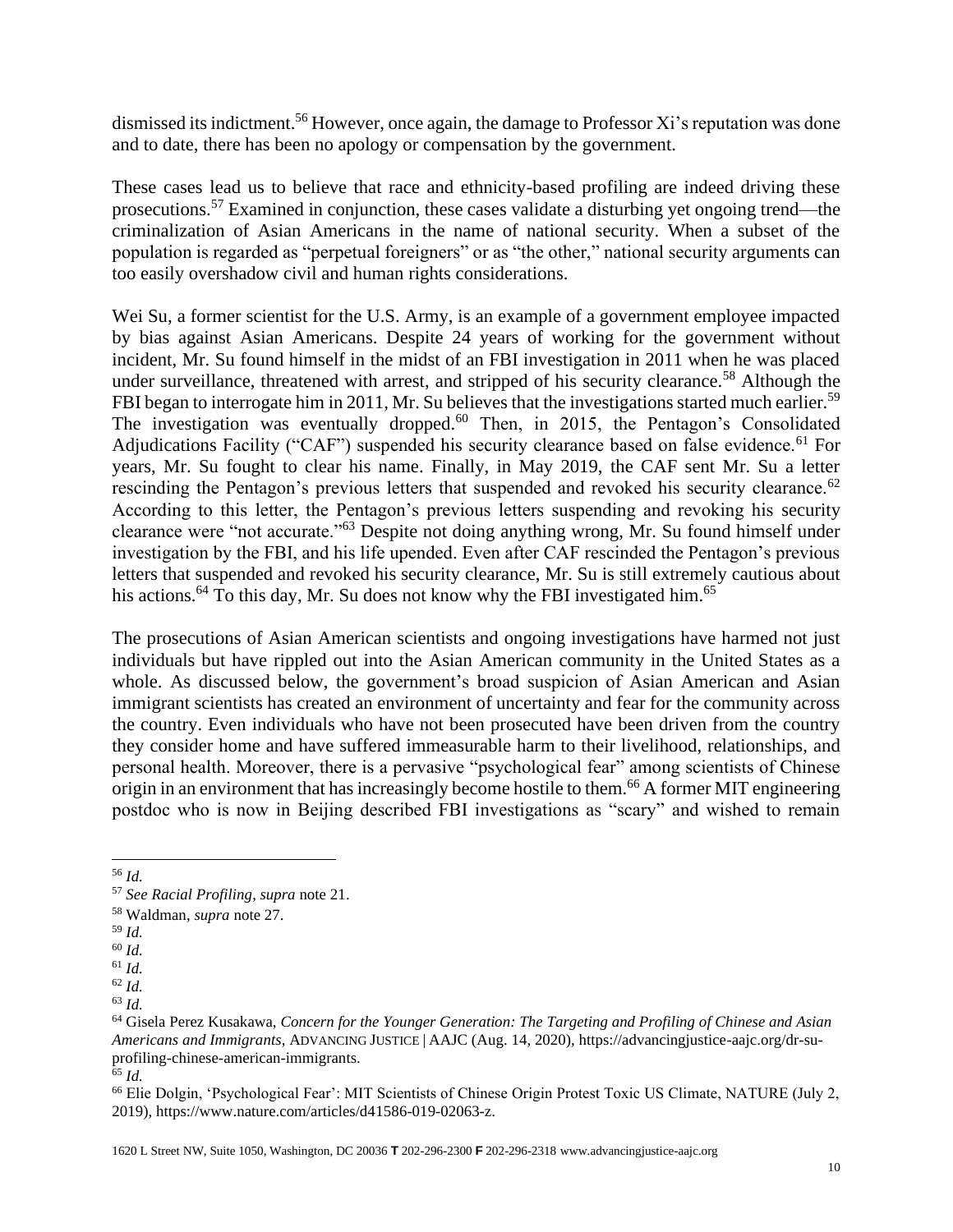dismissed its indictment.<sup>56</sup> However, once again, the damage to Professor Xi's reputation was done and to date, there has been no apology or compensation by the government.

These cases lead us to believe that race and ethnicity-based profiling are indeed driving these prosecutions.<sup>57</sup> Examined in conjunction, these cases validate a disturbing yet ongoing trend—the criminalization of Asian Americans in the name of national security. When a subset of the population is regarded as "perpetual foreigners" or as "the other," national security arguments can too easily overshadow civil and human rights considerations.

Wei Su, a former scientist for the U.S. Army, is an example of a government employee impacted by bias against Asian Americans. Despite 24 years of working for the government without incident, Mr. Su found himself in the midst of an FBI investigation in 2011 when he was placed under surveillance, threatened with arrest, and stripped of his security clearance.<sup>58</sup> Although the FBI began to interrogate him in 2011, Mr. Su believes that the investigations started much earlier.<sup>59</sup> The investigation was eventually dropped.<sup>60</sup> Then, in 2015, the Pentagon's Consolidated Adjudications Facility ("CAF") suspended his security clearance based on false evidence.<sup>61</sup> For years, Mr. Su fought to clear his name. Finally, in May 2019, the CAF sent Mr. Su a letter rescinding the Pentagon's previous letters that suspended and revoked his security clearance.<sup>62</sup> According to this letter, the Pentagon's previous letters suspending and revoking his security clearance were "not accurate."<sup>63</sup> Despite not doing anything wrong, Mr. Su found himself under investigation by the FBI, and his life upended. Even after CAF rescinded the Pentagon's previous letters that suspended and revoked his security clearance, Mr. Su is still extremely cautious about his actions.<sup>64</sup> To this day, Mr. Su does not know why the FBI investigated him.<sup>65</sup>

The prosecutions of Asian American scientists and ongoing investigations have harmed not just individuals but have rippled out into the Asian American community in the United States as a whole. As discussed below, the government's broad suspicion of Asian American and Asian immigrant scientists has created an environment of uncertainty and fear for the community across the country. Even individuals who have not been prosecuted have been driven from the country they consider home and have suffered immeasurable harm to their livelihood, relationships, and personal health. Moreover, there is a pervasive "psychological fear" among scientists of Chinese origin in an environment that has increasingly become hostile to them.<sup>66</sup> A former MIT engineering postdoc who is now in Beijing described FBI investigations as "scary" and wished to remain

<sup>56</sup> *Id.*

<sup>57</sup> *See Racial Profiling*, *supra* note 21.

<sup>58</sup> Waldman, *supra* note 27.

<sup>59</sup> *Id.*

<sup>60</sup> *Id.*

<sup>61</sup> *Id.*

<sup>62</sup> *Id.*

<sup>63</sup> *Id.*

<sup>64</sup> Gisela Perez Kusakawa, *Concern for the Younger Generation: The Targeting and Profiling of Chinese and Asian Americans and Immigrants*, ADVANCING JUSTICE | AAJC (Aug. 14, 2020), https://advancingjustice-aajc.org/dr-suprofiling-chinese-american-immigrants.

<sup>65</sup> *Id.*

<sup>66</sup> Elie Dolgin, 'Psychological Fear': MIT Scientists of Chinese Origin Protest Toxic US Climate, NATURE (July 2, 2019), https://www.nature.com/articles/d41586-019-02063-z.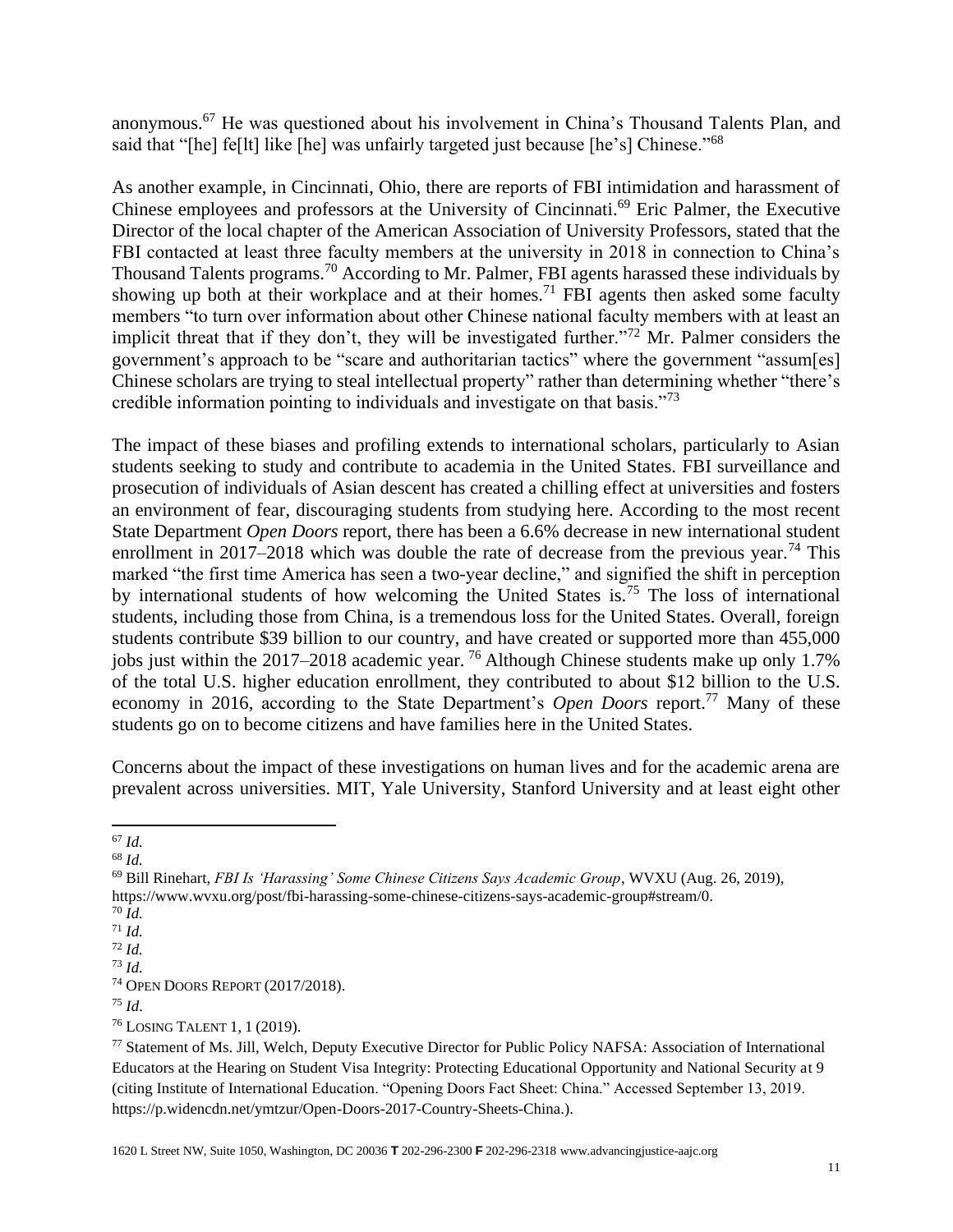anonymous.<sup>67</sup> He was questioned about his involvement in China's Thousand Talents Plan, and said that "[he] fe[lt] like [he] was unfairly targeted just because [he's] Chinese."<sup>68</sup>

As another example, in Cincinnati, Ohio, there are reports of FBI intimidation and harassment of Chinese employees and professors at the University of Cincinnati.<sup>69</sup> Eric Palmer, the Executive Director of the local chapter of the American Association of University Professors, stated that the FBI contacted at least three faculty members at the university in 2018 in connection to China's Thousand Talents programs.<sup>70</sup> According to Mr. Palmer, FBI agents harassed these individuals by showing up both at their workplace and at their homes.<sup>71</sup> FBI agents then asked some faculty members "to turn over information about other Chinese national faculty members with at least an implicit threat that if they don't, they will be investigated further."<sup>72</sup> Mr. Palmer considers the government's approach to be "scare and authoritarian tactics" where the government "assum[es] Chinese scholars are trying to steal intellectual property" rather than determining whether "there's credible information pointing to individuals and investigate on that basis."<sup>73</sup>

The impact of these biases and profiling extends to international scholars, particularly to Asian students seeking to study and contribute to academia in the United States. FBI surveillance and prosecution of individuals of Asian descent has created a chilling effect at universities and fosters an environment of fear, discouraging students from studying here. According to the most recent State Department *Open Doors* report, there has been a 6.6% decrease in new international student enrollment in 2017–2018 which was double the rate of decrease from the previous year.<sup>74</sup> This marked "the first time America has seen a two-year decline," and signified the shift in perception by international students of how welcoming the United States is.<sup>75</sup> The loss of international students, including those from China, is a tremendous loss for the United States. Overall, foreign students contribute \$39 billion to our country, and have created or supported more than 455,000 jobs just within the 2017–2018 academic year. <sup>76</sup> Although Chinese students make up only 1.7% of the total U.S. higher education enrollment, they contributed to about \$12 billion to the U.S. economy in 2016, according to the State Department's *Open Doors* report.<sup>77</sup> Many of these students go on to become citizens and have families here in the United States.

Concerns about the impact of these investigations on human lives and for the academic arena are prevalent across universities. MIT, Yale University, Stanford University and at least eight other

- <sup>70</sup> *Id.*
- <sup>71</sup> *Id.*

<sup>67</sup> *Id.*

<sup>68</sup> *Id.*

<sup>69</sup> Bill Rinehart, *FBI Is 'Harassing' Some Chinese Citizens Says Academic Group*, WVXU (Aug. 26, 2019), https://www.wvxu.org/post/fbi-harassing-some-chinese-citizens-says-academic-group#stream/0.

<sup>72</sup> *Id.*

<sup>73</sup> *Id.*

<sup>74</sup> OPEN DOORS REPORT (2017/2018).

<sup>75</sup> *Id*.

<sup>76</sup> LOSING TALENT 1, 1 (2019).

<sup>77</sup> Statement of Ms. Jill, Welch, Deputy Executive Director for Public Policy NAFSA: Association of International Educators at the Hearing on Student Visa Integrity: Protecting Educational Opportunity and National Security at 9 (citing Institute of International Education. "Opening Doors Fact Sheet: China." Accessed September 13, 2019. https://p.widencdn.net/ymtzur/Open-Doors-2017-Country-Sheets-China.).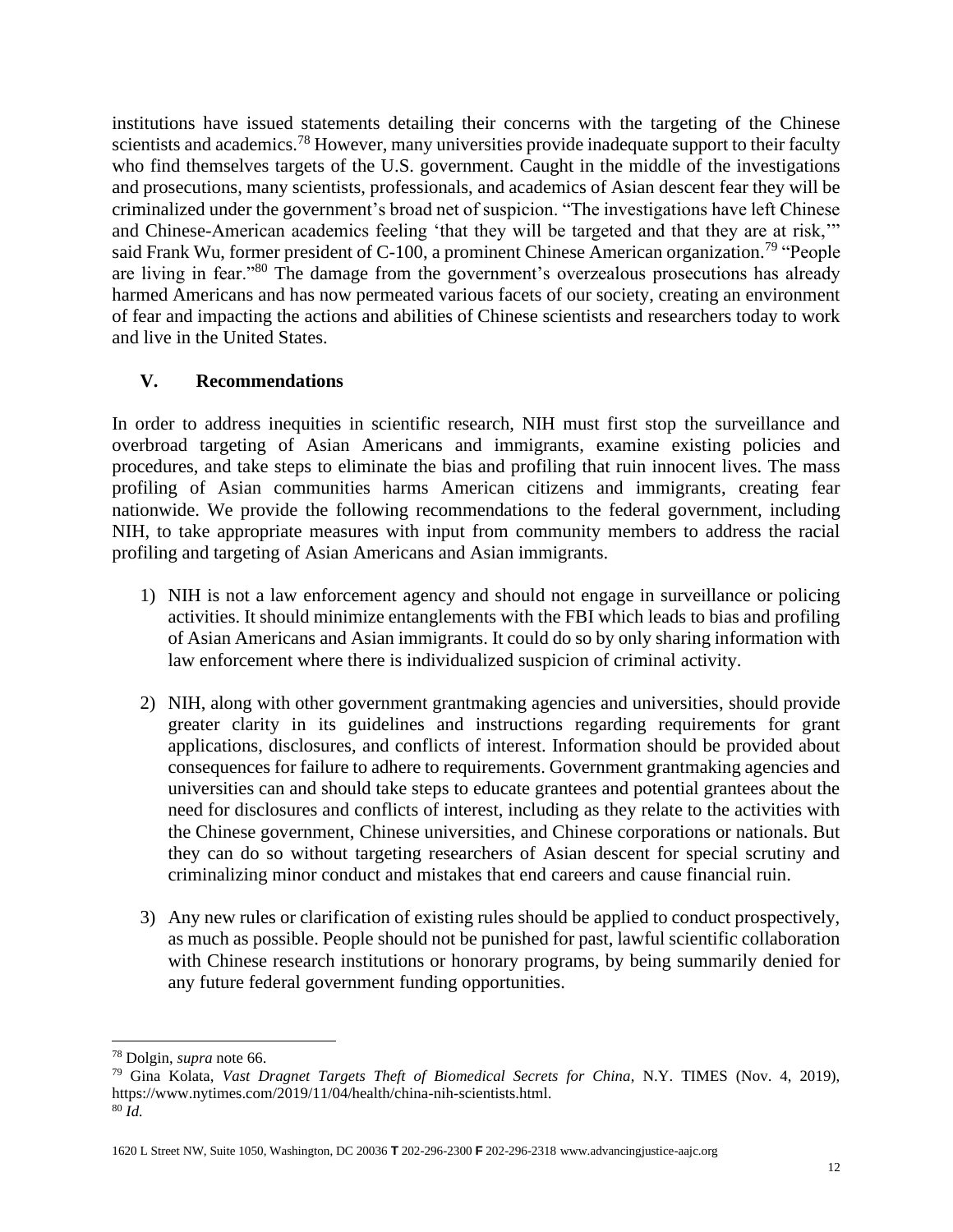institutions have issued statements detailing their concerns with the targeting of the Chinese scientists and academics.<sup>78</sup> However, many universities provide inadequate support to their faculty who find themselves targets of the U.S. government. Caught in the middle of the investigations and prosecutions, many scientists, professionals, and academics of Asian descent fear they will be criminalized under the government's broad net of suspicion. "The investigations have left Chinese and Chinese-American academics feeling 'that they will be targeted and that they are at risk,'" said Frank Wu, former president of C-100, a prominent Chinese American organization.<sup>79</sup> "People are living in fear."<sup>80</sup> The damage from the government's overzealous prosecutions has already harmed Americans and has now permeated various facets of our society, creating an environment of fear and impacting the actions and abilities of Chinese scientists and researchers today to work and live in the United States.

#### **V. Recommendations**

In order to address inequities in scientific research, NIH must first stop the surveillance and overbroad targeting of Asian Americans and immigrants, examine existing policies and procedures, and take steps to eliminate the bias and profiling that ruin innocent lives. The mass profiling of Asian communities harms American citizens and immigrants, creating fear nationwide. We provide the following recommendations to the federal government, including NIH, to take appropriate measures with input from community members to address the racial profiling and targeting of Asian Americans and Asian immigrants.

- 1) NIH is not a law enforcement agency and should not engage in surveillance or policing activities. It should minimize entanglements with the FBI which leads to bias and profiling of Asian Americans and Asian immigrants. It could do so by only sharing information with law enforcement where there is individualized suspicion of criminal activity.
- 2) NIH, along with other government grantmaking agencies and universities, should provide greater clarity in its guidelines and instructions regarding requirements for grant applications, disclosures, and conflicts of interest. Information should be provided about consequences for failure to adhere to requirements. Government grantmaking agencies and universities can and should take steps to educate grantees and potential grantees about the need for disclosures and conflicts of interest, including as they relate to the activities with the Chinese government, Chinese universities, and Chinese corporations or nationals. But they can do so without targeting researchers of Asian descent for special scrutiny and criminalizing minor conduct and mistakes that end careers and cause financial ruin.
- 3) Any new rules or clarification of existing rules should be applied to conduct prospectively, as much as possible. People should not be punished for past, lawful scientific collaboration with Chinese research institutions or honorary programs, by being summarily denied for any future federal government funding opportunities.

<sup>78</sup> Dolgin, *supra* note 66.

<sup>79</sup> Gina Kolata, *Vast Dragnet Targets Theft of Biomedical Secrets for China*, N.Y. TIMES (Nov. 4, 2019), https://www.nytimes.com/2019/11/04/health/china-nih-scientists.html. <sup>80</sup> *Id.*

<sup>1620</sup> L Street NW, Suite 1050, Washington, DC 20036 **T** 202-296-2300 **F** 202-296-2318 www.advancingjustice-aajc.org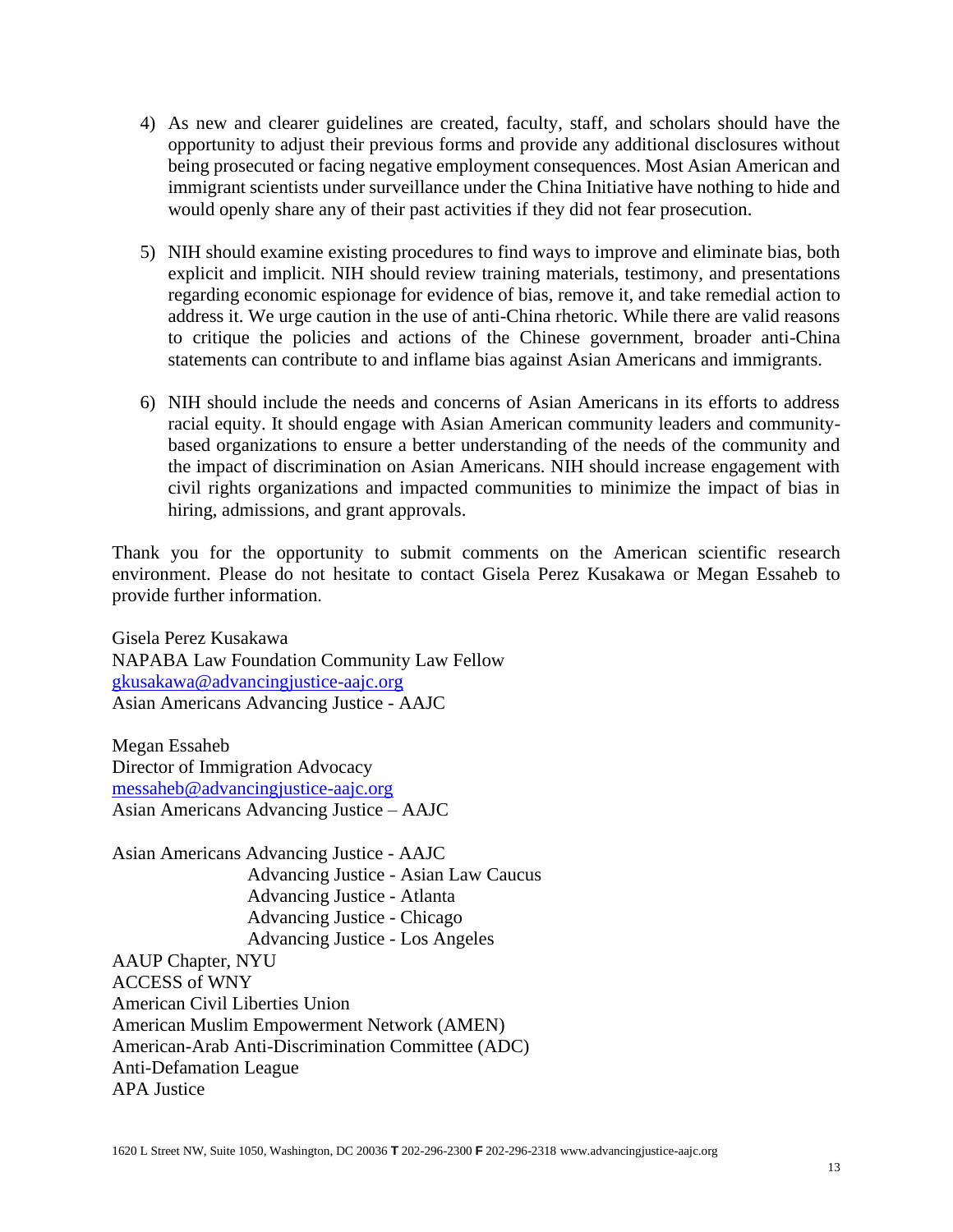- 4) As new and clearer guidelines are created, faculty, staff, and scholars should have the opportunity to adjust their previous forms and provide any additional disclosures without being prosecuted or facing negative employment consequences. Most Asian American and immigrant scientists under surveillance under the China Initiative have nothing to hide and would openly share any of their past activities if they did not fear prosecution.
- 5) NIH should examine existing procedures to find ways to improve and eliminate bias, both explicit and implicit. NIH should review training materials, testimony, and presentations regarding economic espionage for evidence of bias, remove it, and take remedial action to address it. We urge caution in the use of anti-China rhetoric. While there are valid reasons to critique the policies and actions of the Chinese government, broader anti-China statements can contribute to and inflame bias against Asian Americans and immigrants.
- 6) NIH should include the needs and concerns of Asian Americans in its efforts to address racial equity. It should engage with Asian American community leaders and communitybased organizations to ensure a better understanding of the needs of the community and the impact of discrimination on Asian Americans. NIH should increase engagement with civil rights organizations and impacted communities to minimize the impact of bias in hiring, admissions, and grant approvals.

Thank you for the opportunity to submit comments on the American scientific research environment. Please do not hesitate to contact Gisela Perez Kusakawa or Megan Essaheb to provide further information.

Gisela Perez Kusakawa NAPABA Law Foundation Community Law Fellow [gkusakawa@advancingjustice-aajc.org](mailto:gkusakawa@advancingjustice-aajc.org) Asian Americans Advancing Justice - AAJC

Megan Essaheb Director of Immigration Advocacy [messaheb@advancingjustice-aajc.org](mailto:messaheb@advancingjustice-aajc.org) Asian Americans Advancing Justice – AAJC

Asian Americans Advancing Justice - AAJC Advancing Justice - Asian Law Caucus Advancing Justice - Atlanta Advancing Justice - Chicago Advancing Justice - Los Angeles AAUP Chapter, NYU ACCESS of WNY American Civil Liberties Union American Muslim Empowerment Network (AMEN) American-Arab Anti-Discrimination Committee (ADC) Anti-Defamation League APA Justice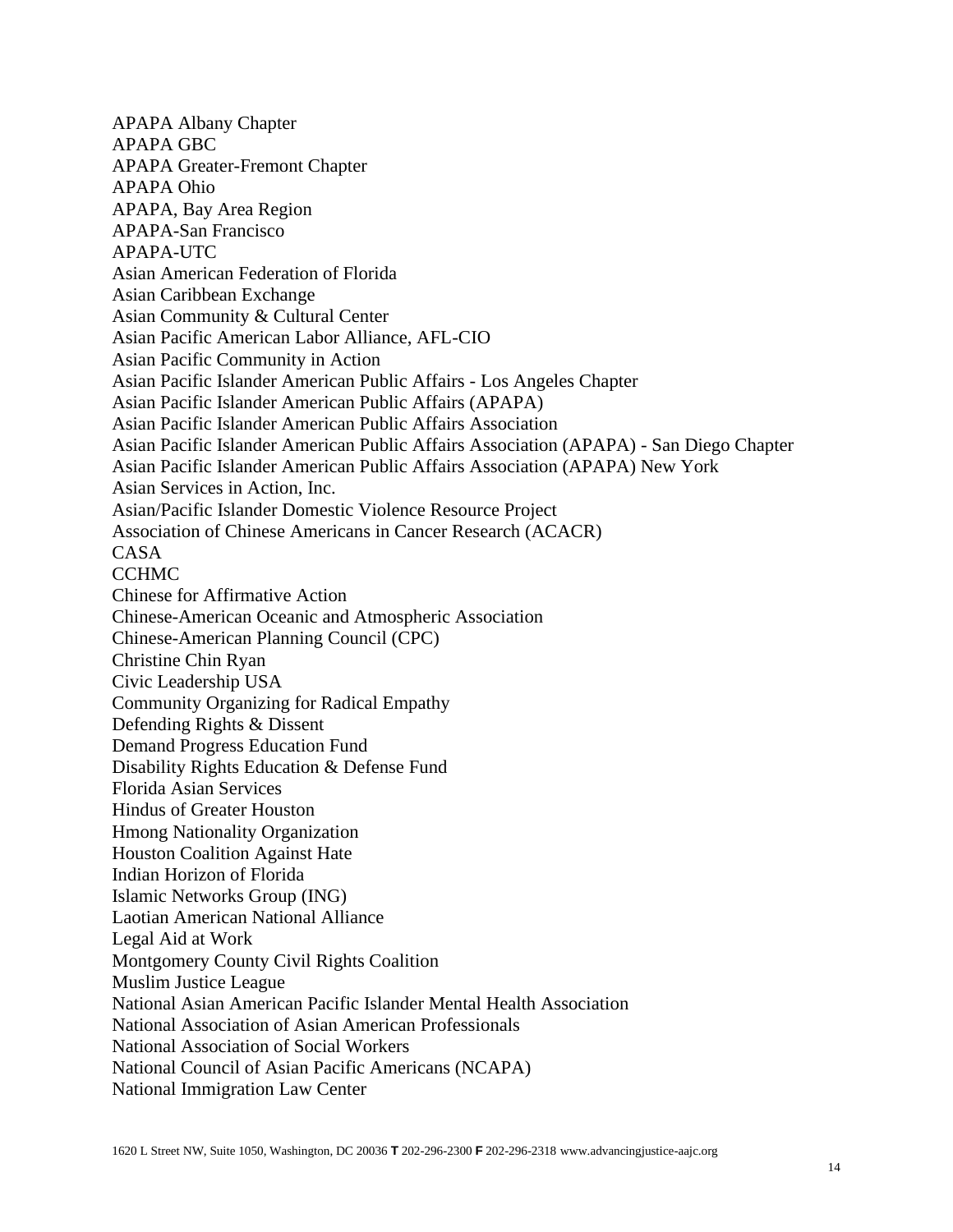APAPA Albany Chapter APAPA GBC APAPA Greater-Fremont Chapter APAPA Ohio APAPA, Bay Area Region APAPA-San Francisco APAPA-UTC Asian American Federation of Florida Asian Caribbean Exchange Asian Community & Cultural Center Asian Pacific American Labor Alliance, AFL-CIO Asian Pacific Community in Action Asian Pacific Islander American Public Affairs - Los Angeles Chapter Asian Pacific Islander American Public Affairs (APAPA) Asian Pacific Islander American Public Affairs Association Asian Pacific Islander American Public Affairs Association (APAPA) - San Diego Chapter Asian Pacific Islander American Public Affairs Association (APAPA) New York Asian Services in Action, Inc. Asian/Pacific Islander Domestic Violence Resource Project Association of Chinese Americans in Cancer Research (ACACR) CASA CCHMC Chinese for Affirmative Action Chinese-American Oceanic and Atmospheric Association Chinese-American Planning Council (CPC) Christine Chin Ryan Civic Leadership USA Community Organizing for Radical Empathy Defending Rights & Dissent Demand Progress Education Fund Disability Rights Education & Defense Fund Florida Asian Services Hindus of Greater Houston Hmong Nationality Organization Houston Coalition Against Hate Indian Horizon of Florida Islamic Networks Group (ING) Laotian American National Alliance Legal Aid at Work Montgomery County Civil Rights Coalition Muslim Justice League National Asian American Pacific Islander Mental Health Association National Association of Asian American Professionals National Association of Social Workers National Council of Asian Pacific Americans (NCAPA) National Immigration Law Center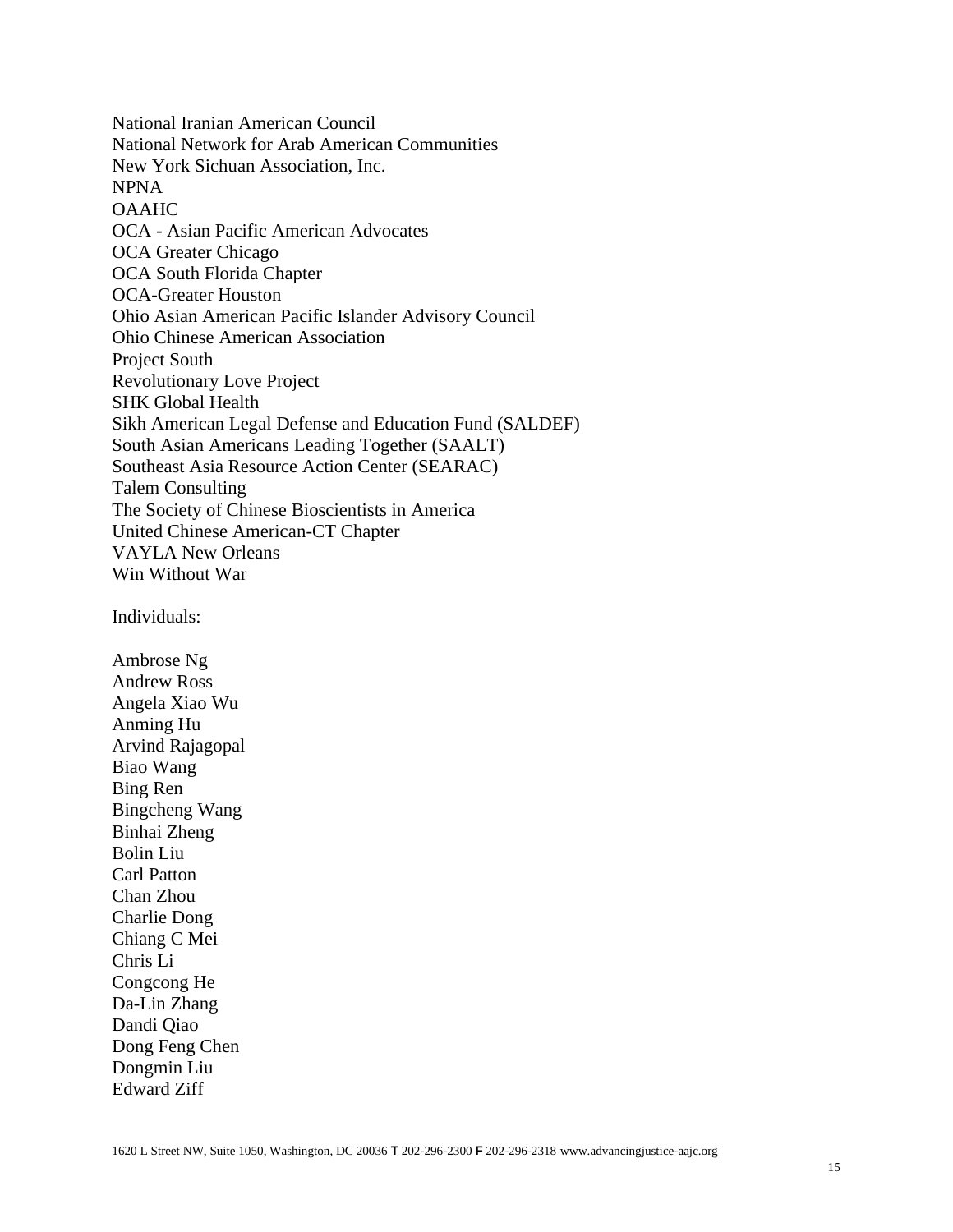National Iranian American Council National Network for Arab American Communities New York Sichuan Association, Inc. NPNA OAAHC OCA - Asian Pacific American Advocates OCA Greater Chicago OCA South Florida Chapter OCA-Greater Houston Ohio Asian American Pacific Islander Advisory Council Ohio Chinese American Association Project South Revolutionary Love Project SHK Global Health Sikh American Legal Defense and Education Fund (SALDEF) South Asian Americans Leading Together (SAALT) Southeast Asia Resource Action Center (SEARAC) Talem Consulting The Society of Chinese Bioscientists in America United Chinese American-CT Chapter VAYLA New Orleans Win Without War

Individuals:

Ambrose Ng Andrew Ross Angela Xiao Wu Anming Hu Arvind Rajagopal Biao Wang Bing Ren Bingcheng Wang Binhai Zheng Bolin Liu Carl Patton Chan Zhou Charlie Dong Chiang C Mei Chris Li Congcong He Da-Lin Zhang Dandi Qiao Dong Feng Chen Dongmin Liu Edward Ziff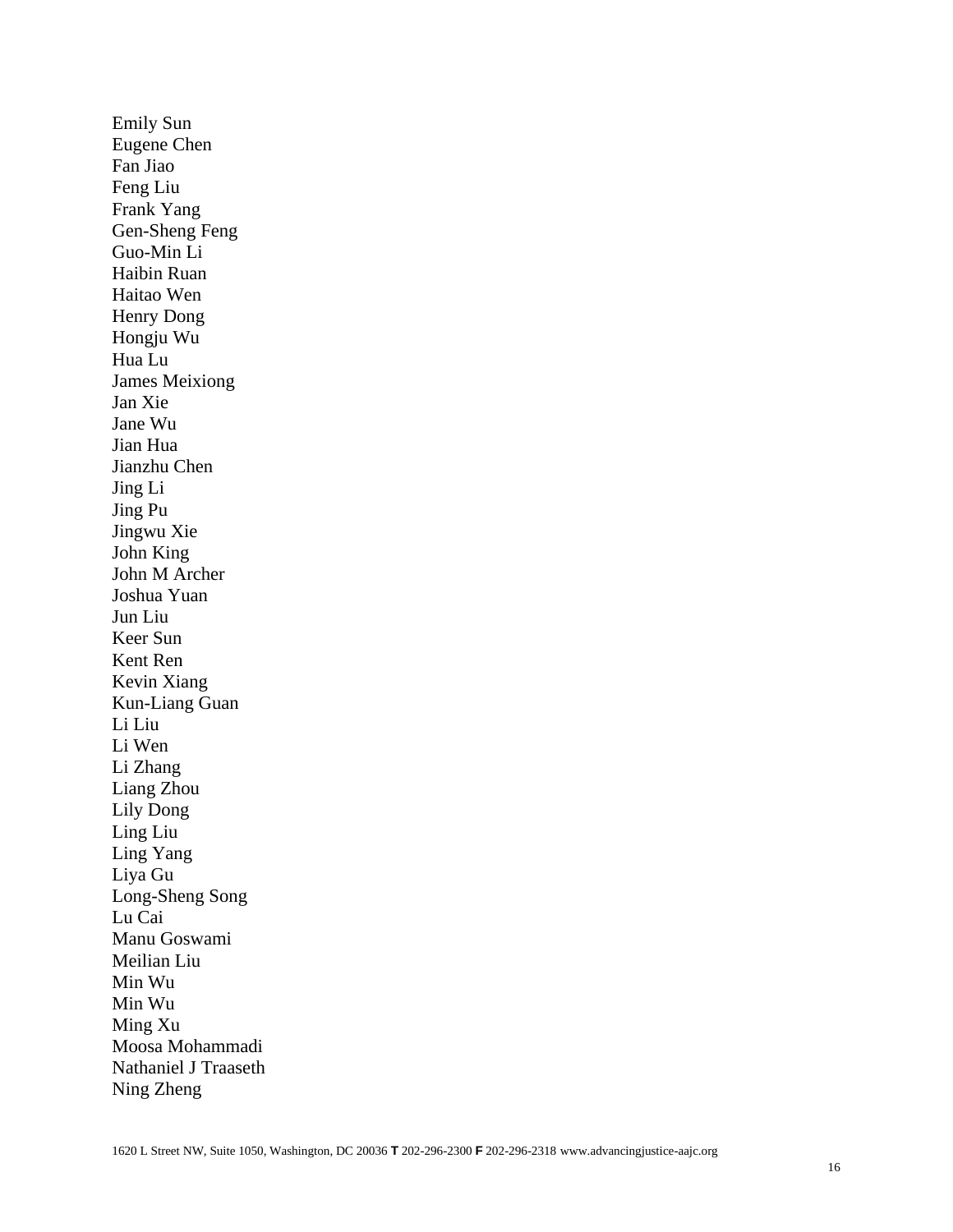Emily Sun Eugene Chen Fan Jiao Feng Liu Frank Yang Gen-Sheng Feng Guo-Min Li Haibin Ruan Haitao Wen Henry Dong Hongju Wu Hua Lu James Meixiong Jan Xie Jane Wu Jian Hua Jianzhu Chen Jing Li Jing Pu Jingwu Xie John King John M Archer Joshua Yuan Jun Liu Keer Sun Kent Ren Kevin Xiang Kun-Liang Guan Li Liu Li Wen Li Zhang Liang Zhou Lily Dong Ling Liu Ling Yang Liya Gu Long-Sheng Song Lu Cai Manu Goswami Meilian Liu Min Wu Min Wu Ming Xu Moosa Mohammadi Nathaniel J Traaseth Ning Zheng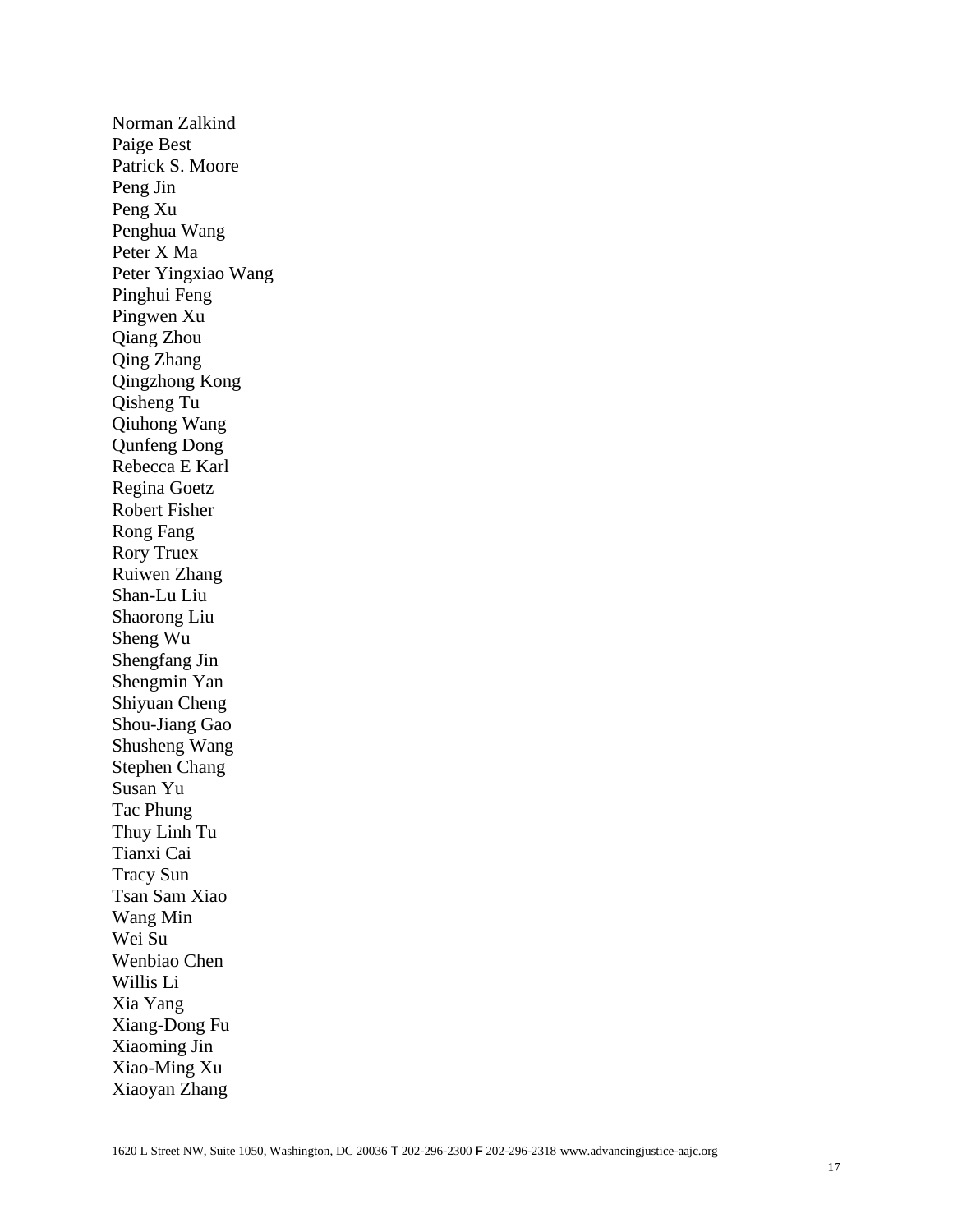Norman Zalkind Paige Best Patrick S. Moore Peng Jin Peng Xu Penghua Wang Peter X Ma Peter Yingxiao Wang Pinghui Feng Pingwen Xu Qiang Zhou Qing Zhang Qingzhong Kong Qisheng Tu Qiuhong Wang Qunfeng Dong Rebecca E Karl Regina Goetz Robert Fisher Rong Fang Rory Truex Ruiwen Zhang Shan-Lu Liu Shaorong Liu Sheng Wu Shengfang Jin Shengmin Yan Shiyuan Cheng Shou-Jiang Gao Shusheng Wang Stephen Chang Susan Yu Tac Phung Thuy Linh Tu Tianxi Cai Tracy Sun Tsan Sam Xiao Wang Min Wei Su Wenbiao Chen Willis Li Xia Yang Xiang-Dong Fu Xiaoming Jin Xiao-Ming Xu Xiaoyan Zhang